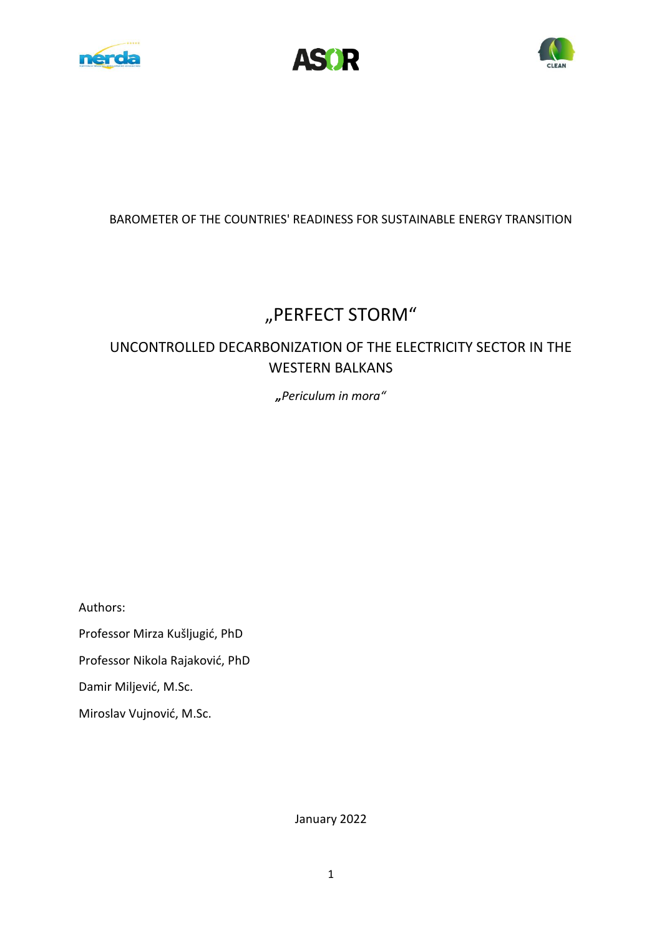





## BAROMETER OF THE COUNTRIES' READINESS FOR SUSTAINABLE ENERGY TRANSITION

# "PERFECT STORM"

## UNCONTROLLED DECARBONIZATION OF THE ELECTRICITY SECTOR IN THE WESTERN BALKANS

*"Periculum in mora"* 

Authors: Professor Mirza Kušljugić, PhD Professor Nikola Rajaković, PhD Damir Miljević, M.Sc. Miroslav Vujnović, M.Sc.

January 2022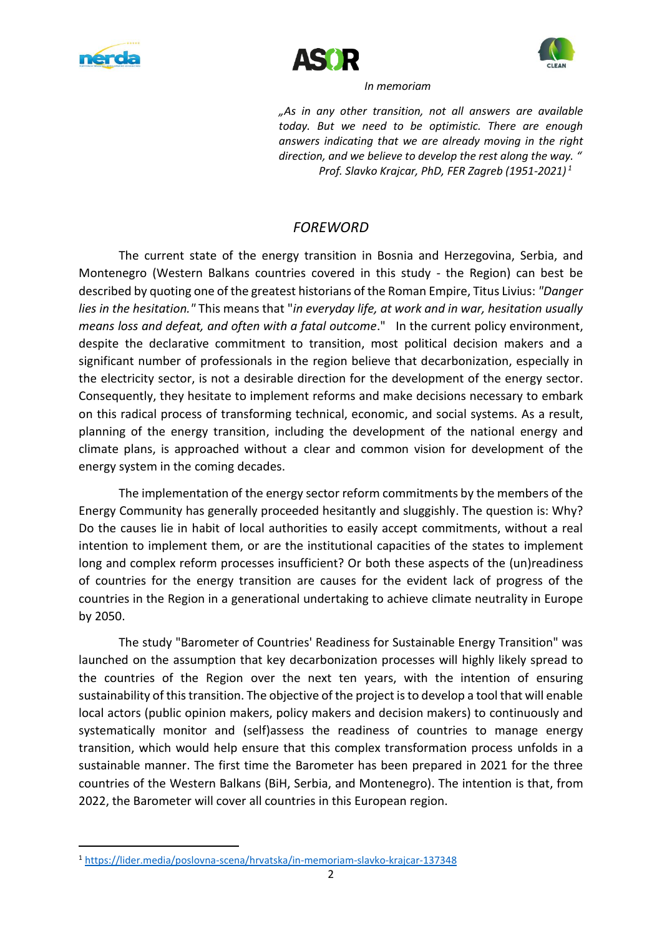





 *In memoriam*

*"As in any other transition, not all answers are available today. But we need to be optimistic. There are enough answers indicating that we are already moving in the right direction, and we believe to develop the rest along the way. " Prof. Slavko Krajcar, PhD, FER Zagreb (1951-2021) <sup>1</sup>*

## *FOREWORD*

The current state of the energy transition in Bosnia and Herzegovina, Serbia, and Montenegro (Western Balkans countries covered in this study - the Region) can best be described by quoting one of the greatest historians of the Roman Empire, Titus Livius: *"Danger lies in the hesitation."* This means that "*in everyday life, at work and in war, hesitation usually means loss and defeat, and often with a fatal outcome*." In the current policy environment, despite the declarative commitment to transition, most political decision makers and a significant number of professionals in the region believe that decarbonization, especially in the electricity sector, is not a desirable direction for the development of the energy sector. Consequently, they hesitate to implement reforms and make decisions necessary to embark on this radical process of transforming technical, economic, and social systems. As a result, planning of the energy transition, including the development of the national energy and climate plans, is approached without a clear and common vision for development of the energy system in the coming decades.

The implementation of the energy sector reform commitments by the members of the Energy Community has generally proceeded hesitantly and sluggishly. The question is: Why? Do the causes lie in habit of local authorities to easily accept commitments, without a real intention to implement them, or are the institutional capacities of the states to implement long and complex reform processes insufficient? Or both these aspects of the (un)readiness of countries for the energy transition are causes for the evident lack of progress of the countries in the Region in a generational undertaking to achieve climate neutrality in Europe by 2050.

The study "Barometer of Countries' Readiness for Sustainable Energy Transition" was launched on the assumption that key decarbonization processes will highly likely spread to the countries of the Region over the next ten years, with the intention of ensuring sustainability of this transition. The objective of the project is to develop a tool that will enable local actors (public opinion makers, policy makers and decision makers) to continuously and systematically monitor and (self)assess the readiness of countries to manage energy transition, which would help ensure that this complex transformation process unfolds in a sustainable manner. The first time the Barometer has been prepared in 2021 for the three countries of the Western Balkans (BiH, Serbia, and Montenegro). The intention is that, from 2022, the Barometer will cover all countries in this European region.

<sup>1</sup> <https://lider.media/poslovna-scena/hrvatska/in-memoriam-slavko-krajcar-137348>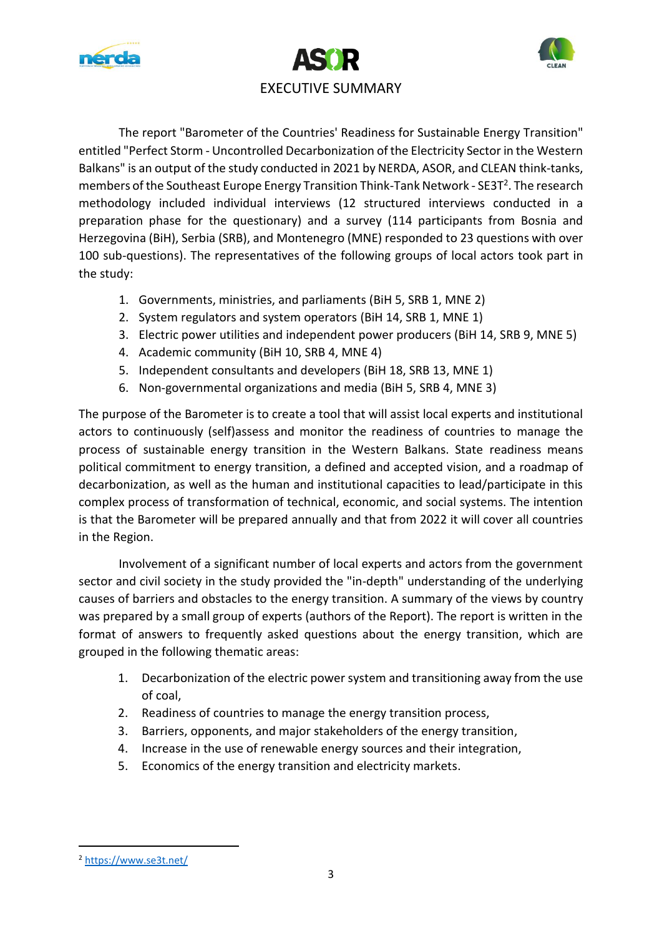





The report "Barometer of the Countries' Readiness for Sustainable Energy Transition" entitled "Perfect Storm - Uncontrolled Decarbonization of the Electricity Sector in the Western Balkans" is an output of the study conducted in 2021 by NERDA, ASOR, and CLEAN think-tanks, members of the Southeast Europe Energy Transition Think-Tank Network - SE3T<sup>2</sup>. The research methodology included individual interviews (12 structured interviews conducted in a preparation phase for the questionary) and a survey (114 participants from Bosnia and Herzegovina (BiH), Serbia (SRB), and Montenegro (MNE) responded to 23 questions with over 100 sub-questions). The representatives of the following groups of local actors took part in the study:

- 1. Governments, ministries, and parliaments (BiH 5, SRB 1, MNE 2)
- 2. System regulators and system operators (BiH 14, SRB 1, MNE 1)
- 3. Electric power utilities and independent power producers (BiH 14, SRB 9, MNE 5)
- 4. Academic community (BiH 10, SRB 4, MNE 4)
- 5. Independent consultants and developers (BiH 18, SRB 13, MNE 1)
- 6. Non-governmental organizations and media (BiH 5, SRB 4, MNE 3)

The purpose of the Barometer is to create a tool that will assist local experts and institutional actors to continuously (self)assess and monitor the readiness of countries to manage the process of sustainable energy transition in the Western Balkans. State readiness means political commitment to energy transition, a defined and accepted vision, and a roadmap of decarbonization, as well as the human and institutional capacities to lead/participate in this complex process of transformation of technical, economic, and social systems. The intention is that the Barometer will be prepared annually and that from 2022 it will cover all countries in the Region.

Involvement of a significant number of local experts and actors from the government sector and civil society in the study provided the "in-depth" understanding of the underlying causes of barriers and obstacles to the energy transition. A summary of the views by country was prepared by a small group of experts (authors of the Report). The report is written in the format of answers to frequently asked questions about the energy transition, which are grouped in the following thematic areas:

- 1. Decarbonization of the electric power system and transitioning away from the use of coal,
- 2. Readiness of countries to manage the energy transition process,
- 3. Barriers, opponents, and major stakeholders of the energy transition,
- 4. Increase in the use of renewable energy sources and their integration,
- 5. Economics of the energy transition and electricity markets.

<sup>2</sup> <https://www.se3t.net/>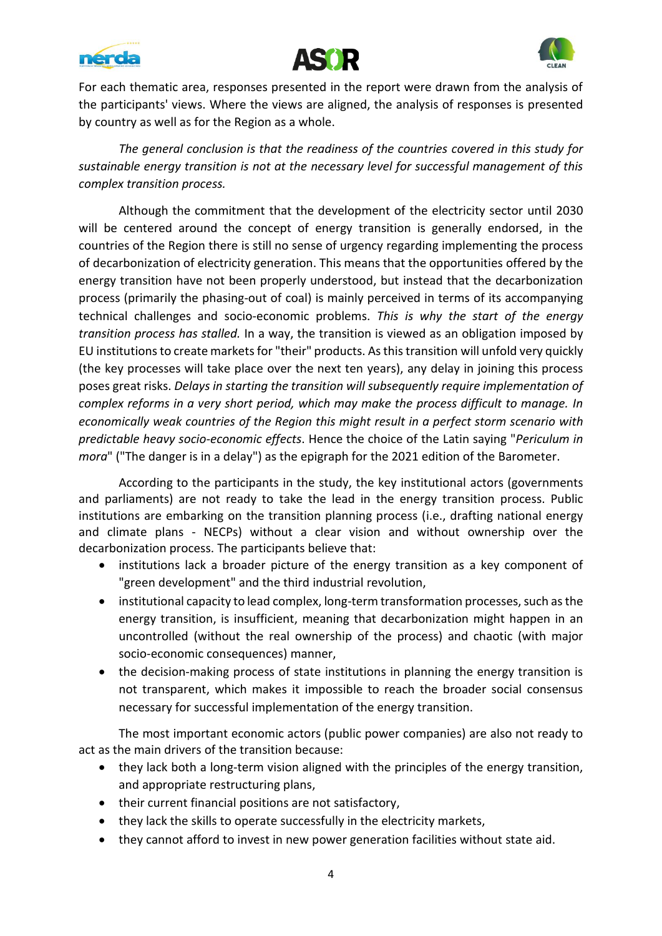





For each thematic area, responses presented in the report were drawn from the analysis of the participants' views. Where the views are aligned, the analysis of responses is presented by country as well as for the Region as a whole.

*The general conclusion is that the readiness of the countries covered in this study for sustainable energy transition is not at the necessary level for successful management of this complex transition process.* 

Although the commitment that the development of the electricity sector until 2030 will be centered around the concept of energy transition is generally endorsed, in the countries of the Region there is still no sense of urgency regarding implementing the process of decarbonization of electricity generation. This means that the opportunities offered by the energy transition have not been properly understood, but instead that the decarbonization process (primarily the phasing-out of coal) is mainly perceived in terms of its accompanying technical challenges and socio-economic problems. *This is why the start of the energy transition process has stalled.* In a way, the transition is viewed as an obligation imposed by EU institutions to create markets for "their" products. As this transition will unfold very quickly (the key processes will take place over the next ten years), any delay in joining this process poses great risks. *Delays in starting the transition will subsequently require implementation of complex reforms in a very short period, which may make the process difficult to manage. In economically weak countries of the Region this might result in a perfect storm scenario with predictable heavy socio-economic effects*. Hence the choice of the Latin saying "*Periculum in mora*" ("The danger is in a delay") as the epigraph for the 2021 edition of the Barometer.

According to the participants in the study, the key institutional actors (governments and parliaments) are not ready to take the lead in the energy transition process. Public institutions are embarking on the transition planning process (i.e., drafting national energy and climate plans - NECPs) without a clear vision and without ownership over the decarbonization process. The participants believe that:

- institutions lack a broader picture of the energy transition as a key component of "green development" and the third industrial revolution,
- institutional capacity to lead complex, long-term transformation processes, such as the energy transition, is insufficient, meaning that decarbonization might happen in an uncontrolled (without the real ownership of the process) and chaotic (with major socio-economic consequences) manner,
- the decision-making process of state institutions in planning the energy transition is not transparent, which makes it impossible to reach the broader social consensus necessary for successful implementation of the energy transition.

The most important economic actors (public power companies) are also not ready to act as the main drivers of the transition because:

- they lack both a long-term vision aligned with the principles of the energy transition, and appropriate restructuring plans,
- their current financial positions are not satisfactory,
- they lack the skills to operate successfully in the electricity markets,
- they cannot afford to invest in new power generation facilities without state aid.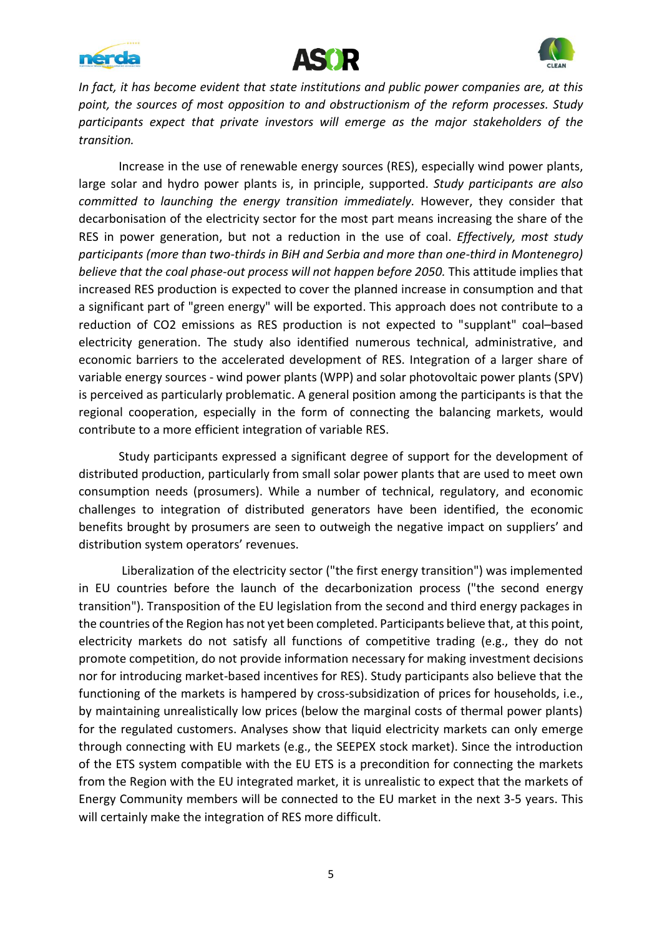





*In fact, it has become evident that state institutions and public power companies are, at this point, the sources of most opposition to and obstructionism of the reform processes. Study participants expect that private investors will emerge as the major stakeholders of the transition.* 

Increase in the use of renewable energy sources (RES), especially wind power plants, large solar and hydro power plants is, in principle, supported. *Study participants are also committed to launching the energy transition immediately.* However, they consider that decarbonisation of the electricity sector for the most part means increasing the share of the RES in power generation, but not a reduction in the use of coal. *Effectively, most study participants (more than two-thirds in BiH and Serbia and more than one-third in Montenegro) believe that the coal phase-out process will not happen before 2050.* This attitude implies that increased RES production is expected to cover the planned increase in consumption and that a significant part of "green energy" will be exported. This approach does not contribute to a reduction of CO2 emissions as RES production is not expected to "supplant" coal–based electricity generation. The study also identified numerous technical, administrative, and economic barriers to the accelerated development of RES. Integration of a larger share of variable energy sources - wind power plants (WPP) and solar photovoltaic power plants (SPV) is perceived as particularly problematic. A general position among the participants is that the regional cooperation, especially in the form of connecting the balancing markets, would contribute to a more efficient integration of variable RES.

Study participants expressed a significant degree of support for the development of distributed production, particularly from small solar power plants that are used to meet own consumption needs (prosumers). While a number of technical, regulatory, and economic challenges to integration of distributed generators have been identified, the economic benefits brought by prosumers are seen to outweigh the negative impact on suppliers' and distribution system operators' revenues.

Liberalization of the electricity sector ("the first energy transition") was implemented in EU countries before the launch of the decarbonization process ("the second energy transition"). Transposition of the EU legislation from the second and third energy packages in the countries of the Region has not yet been completed. Participants believe that, at this point, electricity markets do not satisfy all functions of competitive trading (e.g., they do not promote competition, do not provide information necessary for making investment decisions nor for introducing market-based incentives for RES). Study participants also believe that the functioning of the markets is hampered by cross-subsidization of prices for households, i.e., by maintaining unrealistically low prices (below the marginal costs of thermal power plants) for the regulated customers. Analyses show that liquid electricity markets can only emerge through connecting with EU markets (e.g., the SEEPEX stock market). Since the introduction of the ETS system compatible with the EU ETS is a precondition for connecting the markets from the Region with the EU integrated market, it is unrealistic to expect that the markets of Energy Community members will be connected to the EU market in the next 3-5 years. This will certainly make the integration of RES more difficult.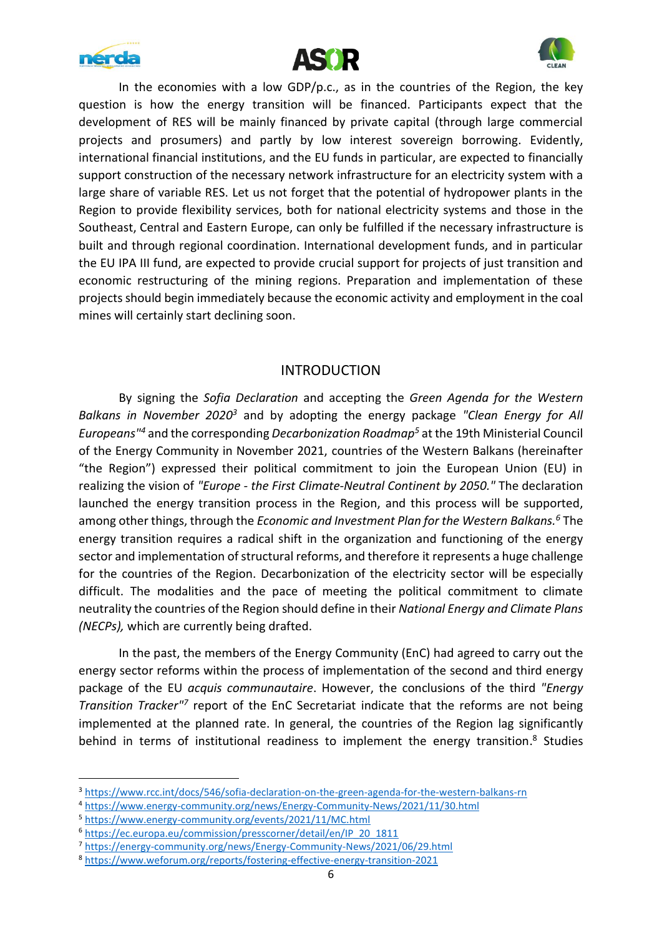





In the economies with a low GDP/p.c., as in the countries of the Region, the key question is how the energy transition will be financed. Participants expect that the development of RES will be mainly financed by private capital (through large commercial projects and prosumers) and partly by low interest sovereign borrowing. Evidently, international financial institutions, and the EU funds in particular, are expected to financially support construction of the necessary network infrastructure for an electricity system with a large share of variable RES. Let us not forget that the potential of hydropower plants in the Region to provide flexibility services, both for national electricity systems and those in the Southeast, Central and Eastern Europe, can only be fulfilled if the necessary infrastructure is built and through regional coordination. International development funds, and in particular the EU IPA III fund, are expected to provide crucial support for projects of just transition and economic restructuring of the mining regions. Preparation and implementation of these projects should begin immediately because the economic activity and employment in the coal mines will certainly start declining soon.

## INTRODUCTION

By signing the *Sofia Declaration* and accepting the *Green Agenda for the Western Balkans in November 2020<sup>3</sup>* and by adopting the energy package *"Clean Energy for All Europeans"<sup>4</sup>* and the corresponding *Decarbonization Roadmap<sup>5</sup>* at the 19th Ministerial Council of the Energy Community in November 2021, countries of the Western Balkans (hereinafter "the Region") expressed their political commitment to join the European Union (EU) in realizing the vision of *"Europe - the First Climate-Neutral Continent by 2050."* The declaration launched the energy transition process in the Region, and this process will be supported, among other things, through the *Economic and Investment Plan for the Western Balkans. <sup>6</sup>* The energy transition requires a radical shift in the organization and functioning of the energy sector and implementation of structural reforms, and therefore it represents a huge challenge for the countries of the Region. Decarbonization of the electricity sector will be especially difficult. The modalities and the pace of meeting the political commitment to climate neutrality the countries of the Region should define in their *National Energy and Climate Plans (NECPs),* which are currently being drafted.

In the past, the members of the Energy Community (EnC) had agreed to carry out the energy sector reforms within the process of implementation of the second and third energy package of the EU *acquis communautaire*. However, the conclusions of the third *"Energy*  Transition Tracker<sup>17</sup> report of the EnC Secretariat indicate that the reforms are not being implemented at the planned rate. In general, the countries of the Region lag significantly behind in terms of institutional readiness to implement the energy transition.<sup>8</sup> Studies

<sup>4</sup> <https://www.energy-community.org/news/Energy-Community-News/2021/11/30.html>

<sup>&</sup>lt;sup>3</sup> <https://www.rcc.int/docs/546/sofia-declaration-on-the-green-agenda-for-the-western-balkans-rn>

<sup>5</sup> <https://www.energy-community.org/events/2021/11/MC.html>

<sup>6</sup> [https://ec.europa.eu/commission/presscorner/detail/en/IP\\_20\\_1811](https://ec.europa.eu/commission/presscorner/detail/en/IP_20_1811)

<sup>7</sup> <https://energy-community.org/news/Energy-Community-News/2021/06/29.html>

<sup>8</sup> <https://www.weforum.org/reports/fostering-effective-energy-transition-2021>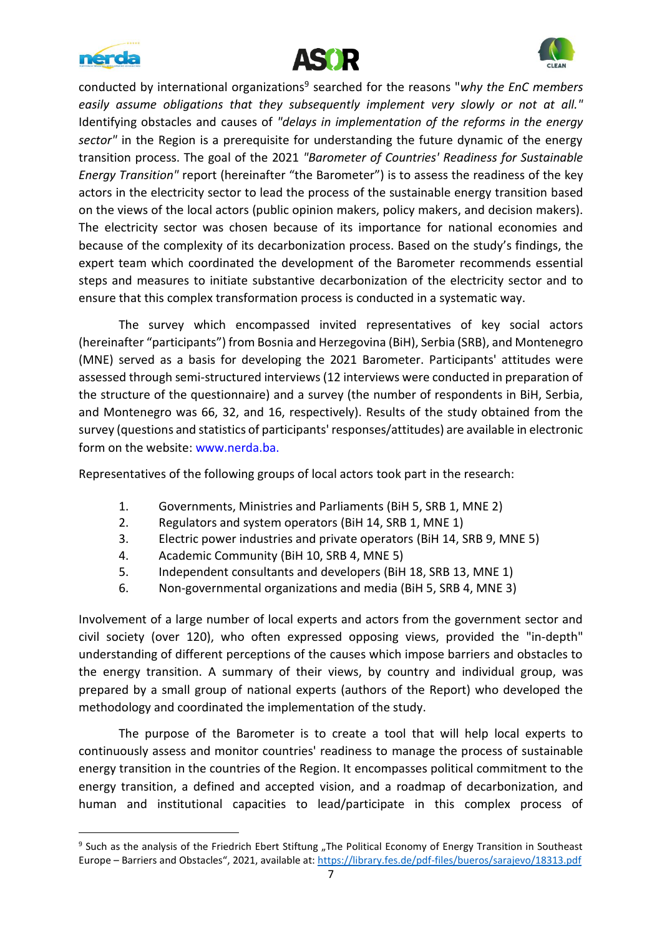





conducted by international organizations<sup>9</sup> searched for the reasons "why the EnC members *easily assume obligations that they subsequently implement very slowly or not at all."* Identifying obstacles and causes of *"delays in implementation of the reforms in the energy sector"* in the Region is a prerequisite for understanding the future dynamic of the energy transition process. The goal of the 2021 *"Barometer of Countries' Readiness for Sustainable Energy Transition"* report (hereinafter "the Barometer") is to assess the readiness of the key actors in the electricity sector to lead the process of the sustainable energy transition based on the views of the local actors (public opinion makers, policy makers, and decision makers). The electricity sector was chosen because of its importance for national economies and because of the complexity of its decarbonization process. Based on the study's findings, the expert team which coordinated the development of the Barometer recommends essential steps and measures to initiate substantive decarbonization of the electricity sector and to ensure that this complex transformation process is conducted in a systematic way.

The survey which encompassed invited representatives of key social actors (hereinafter "participants") from Bosnia and Herzegovina (BiH), Serbia (SRB), and Montenegro (MNE) served as a basis for developing the 2021 Barometer. Participants' attitudes were assessed through semi-structured interviews (12 interviews were conducted in preparation of the structure of the questionnaire) and a survey (the number of respondents in BiH, Serbia, and Montenegro was 66, 32, and 16, respectively). Results of the study obtained from the survey (questions and statistics of participants' responses/attitudes) are available in electronic form on the website: www.nerda.ba.

Representatives of the following groups of local actors took part in the research:

- 1. Governments, Ministries and Parliaments (BiH 5, SRB 1, MNE 2)
- 2. Regulators and system operators (BiH 14, SRB 1, MNE 1)
- 3. Electric power industries and private operators (BiH 14, SRB 9, MNE 5)
- 4. Academic Community (BiH 10, SRB 4, MNE 5)
- 5. Independent consultants and developers (BiH 18, SRB 13, MNE 1)
- 6. Non-governmental organizations and media (BiH 5, SRB 4, MNE 3)

Involvement of a large number of local experts and actors from the government sector and civil society (over 120), who often expressed opposing views, provided the "in-depth" understanding of different perceptions of the causes which impose barriers and obstacles to the energy transition. A summary of their views, by country and individual group, was prepared by a small group of national experts (authors of the Report) who developed the methodology and coordinated the implementation of the study.

The purpose of the Barometer is to create a tool that will help local experts to continuously assess and monitor countries' readiness to manage the process of sustainable energy transition in the countries of the Region. It encompasses political commitment to the energy transition, a defined and accepted vision, and a roadmap of decarbonization, and human and institutional capacities to lead/participate in this complex process of

<sup>&</sup>lt;sup>9</sup> Such as the analysis of the Friedrich Ebert Stiftung "The Political Economy of Energy Transition in Southeast Europe – Barriers and Obstacles", 2021, available at:<https://library.fes.de/pdf-files/bueros/sarajevo/18313.pdf>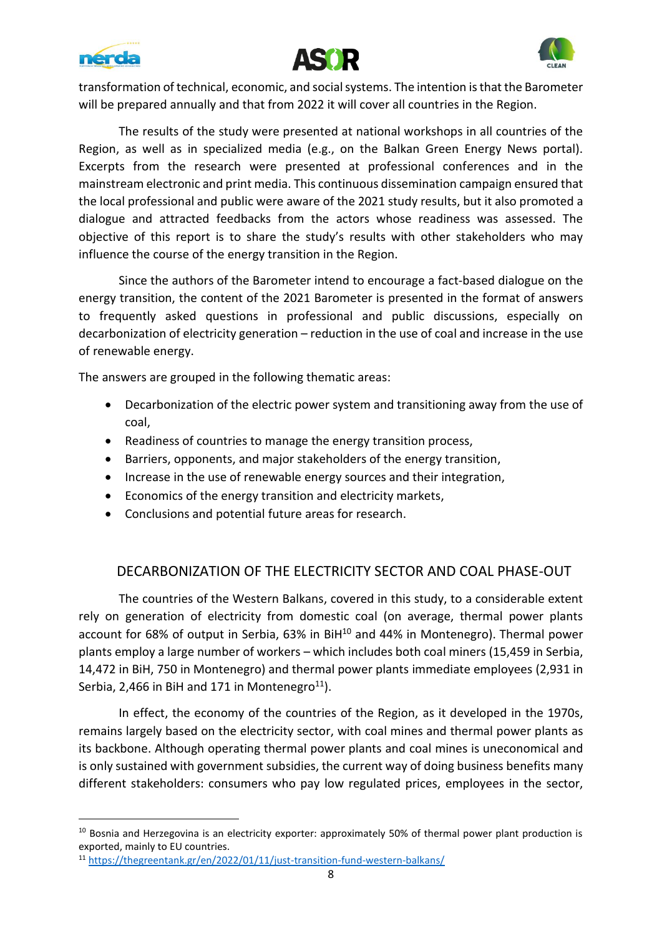





transformation of technical, economic, and social systems. The intention is that the Barometer will be prepared annually and that from 2022 it will cover all countries in the Region.

The results of the study were presented at national workshops in all countries of the Region, as well as in specialized media (e.g., on the Balkan Green Energy News portal). Excerpts from the research were presented at professional conferences and in the mainstream electronic and print media. This continuous dissemination campaign ensured that the local professional and public were aware of the 2021 study results, but it also promoted a dialogue and attracted feedbacks from the actors whose readiness was assessed. The objective of this report is to share the study's results with other stakeholders who may influence the course of the energy transition in the Region.

Since the authors of the Barometer intend to encourage a fact-based dialogue on the energy transition, the content of the 2021 Barometer is presented in the format of answers to frequently asked questions in professional and public discussions, especially on decarbonization of electricity generation – reduction in the use of coal and increase in the use of renewable energy.

The answers are grouped in the following thematic areas:

- Decarbonization of the electric power system and transitioning away from the use of coal,
- Readiness of countries to manage the energy transition process,
- Barriers, opponents, and major stakeholders of the energy transition,
- Increase in the use of renewable energy sources and their integration,
- Economics of the energy transition and electricity markets,
- Conclusions and potential future areas for research.

## DECARBONIZATION OF THE ELECTRICITY SECTOR AND COAL PHASE-OUT

The countries of the Western Balkans, covered in this study, to a considerable extent rely on generation of electricity from domestic coal (on average, thermal power plants account for 68% of output in Serbia, 63% in BiH<sup>10</sup> and 44% in Montenegro). Thermal power plants employ a large number of workers – which includes both coal miners (15,459 in Serbia, 14,472 in BiH, 750 in Montenegro) and thermal power plants immediate employees (2,931 in Serbia, 2,466 in BiH and 171 in Montenegro<sup>11</sup>).

In effect, the economy of the countries of the Region, as it developed in the 1970s, remains largely based on the electricity sector, with coal mines and thermal power plants as its backbone. Although operating thermal power plants and coal mines is uneconomical and is only sustained with government subsidies, the current way of doing business benefits many different stakeholders: consumers who pay low regulated prices, employees in the sector,

<sup>&</sup>lt;sup>10</sup> Bosnia and Herzegovina is an electricity exporter: approximately 50% of thermal power plant production is exported, mainly to EU countries.

<sup>11</sup> <https://thegreentank.gr/en/2022/01/11/just-transition-fund-western-balkans/>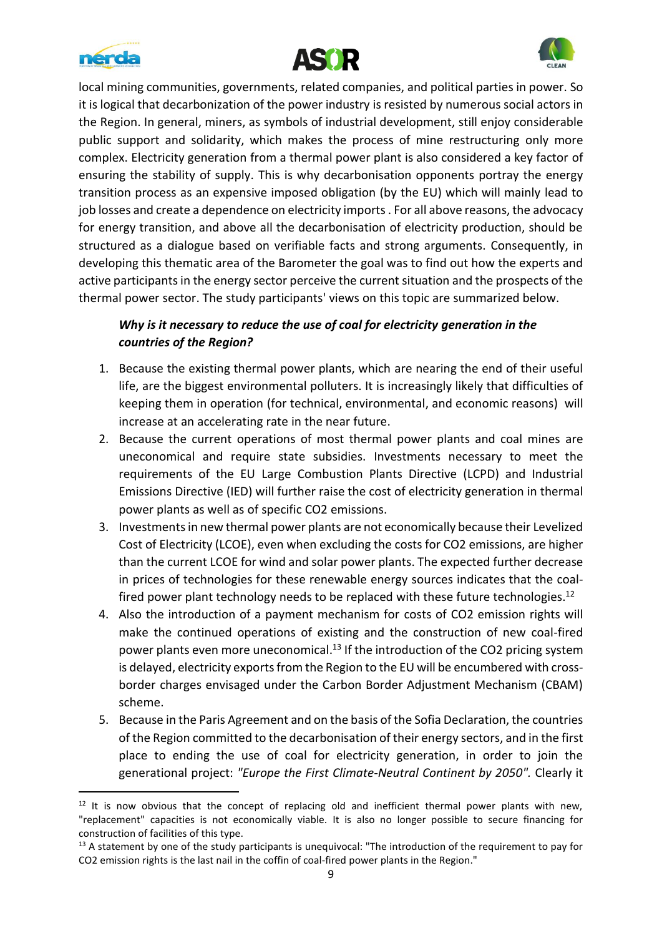





local mining communities, governments, related companies, and political parties in power. So it is logical that decarbonization of the power industry is resisted by numerous social actors in the Region. In general, miners, as symbols of industrial development, still enjoy considerable public support and solidarity, which makes the process of mine restructuring only more complex. Electricity generation from a thermal power plant is also considered a key factor of ensuring the stability of supply. This is why decarbonisation opponents portray the energy transition process as an expensive imposed obligation (by the EU) which will mainly lead to job losses and create a dependence on electricity imports . For all above reasons, the advocacy for energy transition, and above all the decarbonisation of electricity production, should be structured as a dialogue based on verifiable facts and strong arguments. Consequently, in developing this thematic area of the Barometer the goal was to find out how the experts and active participants in the energy sector perceive the current situation and the prospects of the thermal power sector. The study participants' views on this topic are summarized below.

## *Why is it necessary to reduce the use of coal for electricity generation in the countries of the Region?*

- 1. Because the existing thermal power plants, which are nearing the end of their useful life, are the biggest environmental polluters. It is increasingly likely that difficulties of keeping them in operation (for technical, environmental, and economic reasons) will increase at an accelerating rate in the near future.
- 2. Because the current operations of most thermal power plants and coal mines are uneconomical and require state subsidies. Investments necessary to meet the requirements of the EU Large Combustion Plants Directive (LCPD) and Industrial Emissions Directive (IED) will further raise the cost of electricity generation in thermal power plants as well as of specific CO2 emissions.
- 3. Investmentsin new thermal power plants are not economically because their Levelized Cost of Electricity (LCOE), even when excluding the costs for CO2 emissions, are higher than the current LCOE for wind and solar power plants. The expected further decrease in prices of technologies for these renewable energy sources indicates that the coalfired power plant technology needs to be replaced with these future technologies.<sup>12</sup>
- 4. Also the introduction of a payment mechanism for costs of CO2 emission rights will make the continued operations of existing and the construction of new coal-fired power plants even more uneconomical.<sup>13</sup> If the introduction of the CO2 pricing system is delayed, electricity exports from the Region to the EU will be encumbered with crossborder charges envisaged under the Carbon Border Adjustment Mechanism (CBAM) scheme.
- 5. Because in the Paris Agreement and on the basis of the Sofia Declaration, the countries of the Region committed to the decarbonisation of their energy sectors, and in the first place to ending the use of coal for electricity generation, in order to join the generational project: *"Europe the First Climate-Neutral Continent by 2050".* Clearly it

 $12$  It is now obvious that the concept of replacing old and inefficient thermal power plants with new, "replacement" capacities is not economically viable. It is also no longer possible to secure financing for construction of facilities of this type.

<sup>&</sup>lt;sup>13</sup> A statement by one of the study participants is unequivocal: "The introduction of the requirement to pay for CO2 emission rights is the last nail in the coffin of coal-fired power plants in the Region."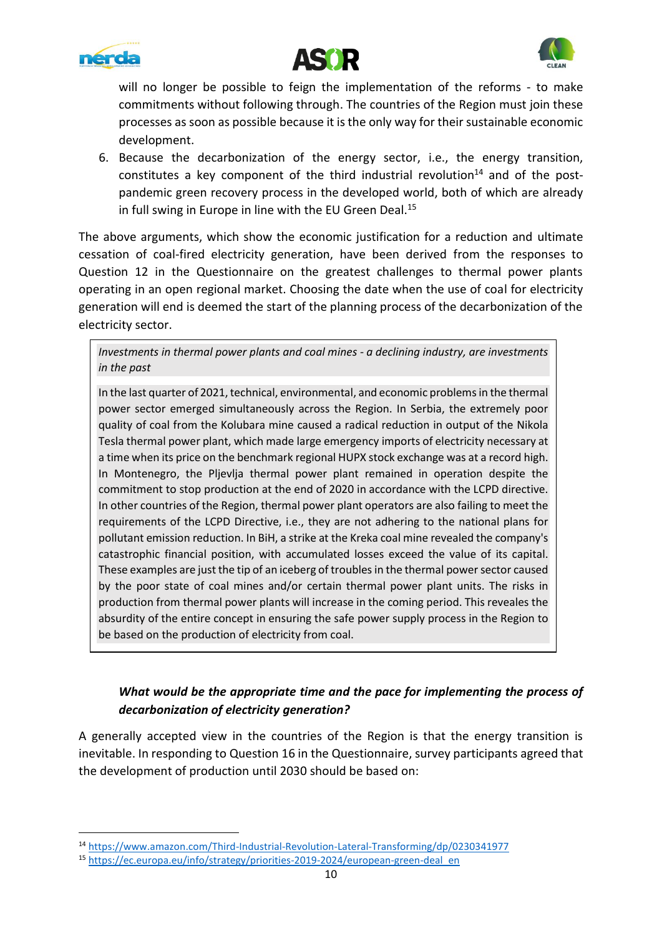





will no longer be possible to feign the implementation of the reforms - to make commitments without following through. The countries of the Region must join these processes as soon as possible because it is the only way for their sustainable economic development.

6. Because the decarbonization of the energy sector, i.e., the energy transition, constitutes a key component of the third industrial revolution<sup>14</sup> and of the postpandemic green recovery process in the developed world, both of which are already in full swing in Europe in line with the EU Green Deal. 15

The above arguments, which show the economic justification for a reduction and ultimate cessation of coal-fired electricity generation, have been derived from the responses to Question 12 in the Questionnaire on the greatest challenges to thermal power plants operating in an open regional market. Choosing the date when the use of coal for electricity generation will end is deemed the start of the planning process of the decarbonization of the electricity sector.

*Investments in thermal power plants and coal mines - a declining industry, are investments in the past*

In the last quarter of 2021, technical, environmental, and economic problems in the thermal power sector emerged simultaneously across the Region. In Serbia, the extremely poor quality of coal from the Kolubara mine caused a radical reduction in output of the Nikola Tesla thermal power plant, which made large emergency imports of electricity necessary at a time when its price on the benchmark regional HUPX stock exchange was at a record high. In Montenegro, the Pljevlja thermal power plant remained in operation despite the commitment to stop production at the end of 2020 in accordance with the LCPD directive. In other countries of the Region, thermal power plant operators are also failing to meet the requirements of the LCPD Directive, i.e., they are not adhering to the national plans for pollutant emission reduction. In BiH, a strike at the Kreka coal mine revealed the company's catastrophic financial position, with accumulated losses exceed the value of its capital. These examples are just the tip of an iceberg of troublesin the thermal power sector caused by the poor state of coal mines and/or certain thermal power plant units. The risks in production from thermal power plants will increase in the coming period. This reveales the absurdity of the entire concept in ensuring the safe power supply process in the Region to be based on the production of electricity from coal.

## *What would be the appropriate time and the pace for implementing the process of decarbonization of electricity generation?*

A generally accepted view in the countries of the Region is that the energy transition is inevitable. In responding to Question 16 in the Questionnaire, survey participants agreed that the development of production until 2030 should be based on:

<sup>14</sup> <https://www.amazon.com/Third-Industrial-Revolution-Lateral-Transforming/dp/0230341977>

<sup>15</sup> [https://ec.europa.eu/info/strategy/priorities-2019-2024/european-green-deal\\_en](https://ec.europa.eu/info/strategy/priorities-2019-2024/european-green-deal_en)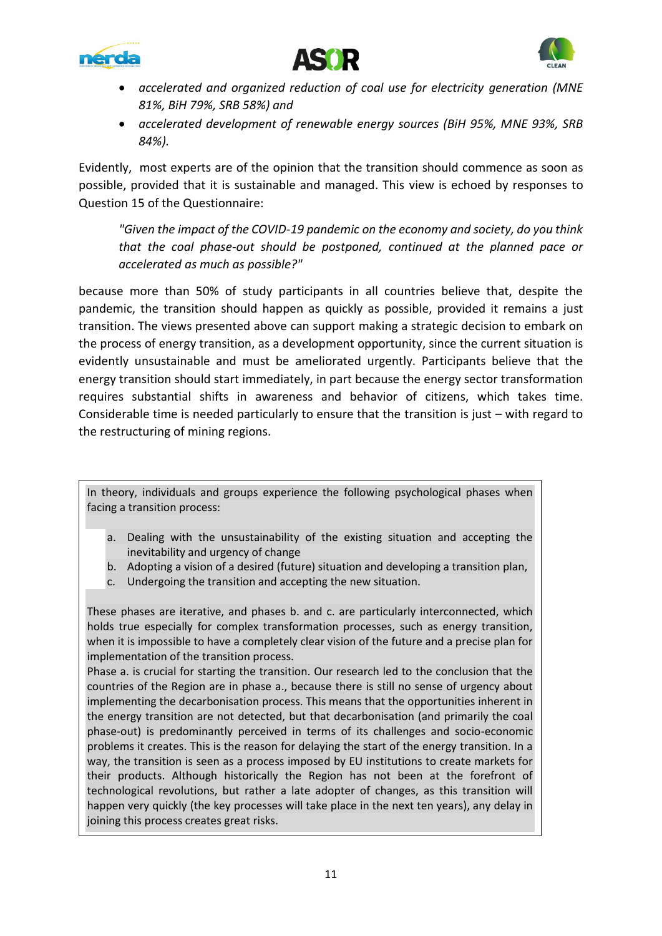





- *accelerated and organized reduction of coal use for electricity generation (MNE 81%, BiH 79%, SRB 58%) and*
- *accelerated development of renewable energy sources (BiH 95%, MNE 93%, SRB 84%).*

Evidently, most experts are of the opinion that the transition should commence as soon as possible, provided that it is sustainable and managed. This view is echoed by responses to Question 15 of the Questionnaire:

*"Given the impact of the COVID-19 pandemic on the economy and society, do you think that the coal phase-out should be postponed, continued at the planned pace or accelerated as much as possible?"*

because more than 50% of study participants in all countries believe that, despite the pandemic, the transition should happen as quickly as possible, provided it remains a just transition. The views presented above can support making a strategic decision to embark on the process of energy transition, as a development opportunity, since the current situation is evidently unsustainable and must be ameliorated urgently. Participants believe that the energy transition should start immediately, in part because the energy sector transformation requires substantial shifts in awareness and behavior of citizens, which takes time. Considerable time is needed particularly to ensure that the transition is just – with regard to the restructuring of mining regions.

In theory, individuals and groups experience the following psychological phases when facing a transition process:

- a. Dealing with the unsustainability of the existing situation and accepting the inevitability and urgency of change
- b. Adopting a vision of a desired (future) situation and developing a transition plan,
- c. Undergoing the transition and accepting the new situation.

These phases are iterative, and phases b. and c. are particularly interconnected, which holds true especially for complex transformation processes, such as energy transition, when it is impossible to have a completely clear vision of the future and a precise plan for implementation of the transition process.

Phase a. is crucial for starting the transition. Our research led to the conclusion that the countries of the Region are in phase a., because there is still no sense of urgency about implementing the decarbonisation process. This means that the opportunities inherent in the energy transition are not detected, but that decarbonisation (and primarily the coal phase-out) is predominantly perceived in terms of its challenges and socio-economic problems it creates. This is the reason for delaying the start of the energy transition. In a way, the transition is seen as a process imposed by EU institutions to create markets for their products. Although historically the Region has not been at the forefront of technological revolutions, but rather a late adopter of changes, as this transition will happen very quickly (the key processes will take place in the next ten years), any delay in joining this process creates great risks.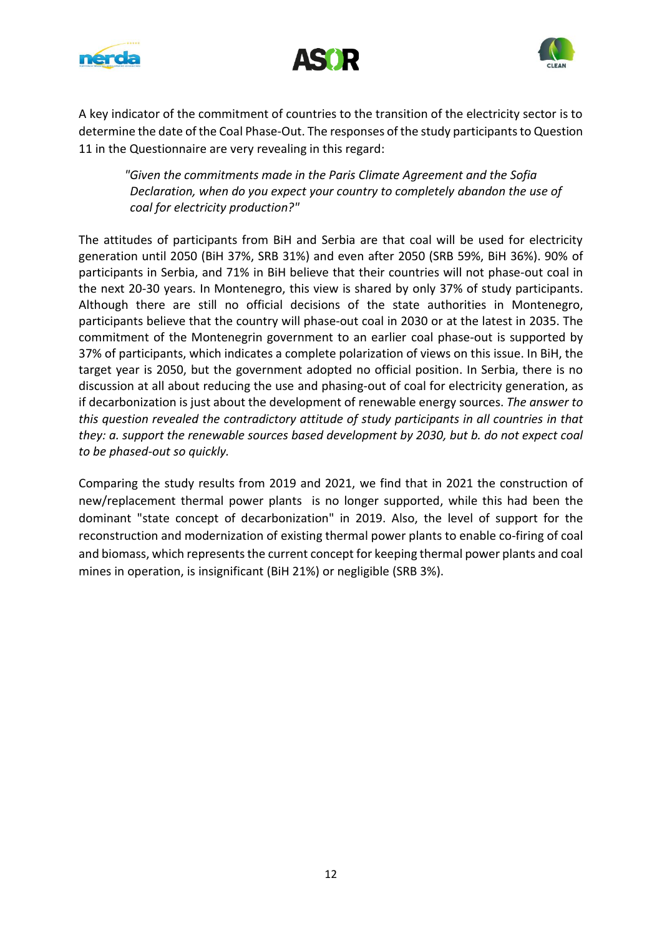





A key indicator of the commitment of countries to the transition of the electricity sector is to determine the date of the Coal Phase-Out. The responses of the study participants to Question 11 in the Questionnaire are very revealing in this regard:

*"Given the commitments made in the Paris Climate Agreement and the Sofia Declaration, when do you expect your country to completely abandon the use of coal for electricity production?"*

The attitudes of participants from BiH and Serbia are that coal will be used for electricity generation until 2050 (BiH 37%, SRB 31%) and even after 2050 (SRB 59%, BiH 36%). 90% of participants in Serbia, and 71% in BiH believe that their countries will not phase-out coal in the next 20-30 years. In Montenegro, this view is shared by only 37% of study participants. Although there are still no official decisions of the state authorities in Montenegro, participants believe that the country will phase-out coal in 2030 or at the latest in 2035. The commitment of the Montenegrin government to an earlier coal phase-out is supported by 37% of participants, which indicates a complete polarization of views on this issue. In BiH, the target year is 2050, but the government adopted no official position. In Serbia, there is no discussion at all about reducing the use and phasing-out of coal for electricity generation, as if decarbonization is just about the development of renewable energy sources. *The answer to this question revealed the contradictory attitude of study participants in all countries in that they: a. support the renewable sources based development by 2030, but b. do not expect coal to be phased-out so quickly.*

Comparing the study results from 2019 and 2021, we find that in 2021 the construction of new/replacement thermal power plants is no longer supported, while this had been the dominant "state concept of decarbonization" in 2019. Also, the level of support for the reconstruction and modernization of existing thermal power plants to enable co-firing of coal and biomass, which represents the current concept for keeping thermal power plants and coal mines in operation, is insignificant (BiH 21%) or negligible (SRB 3%).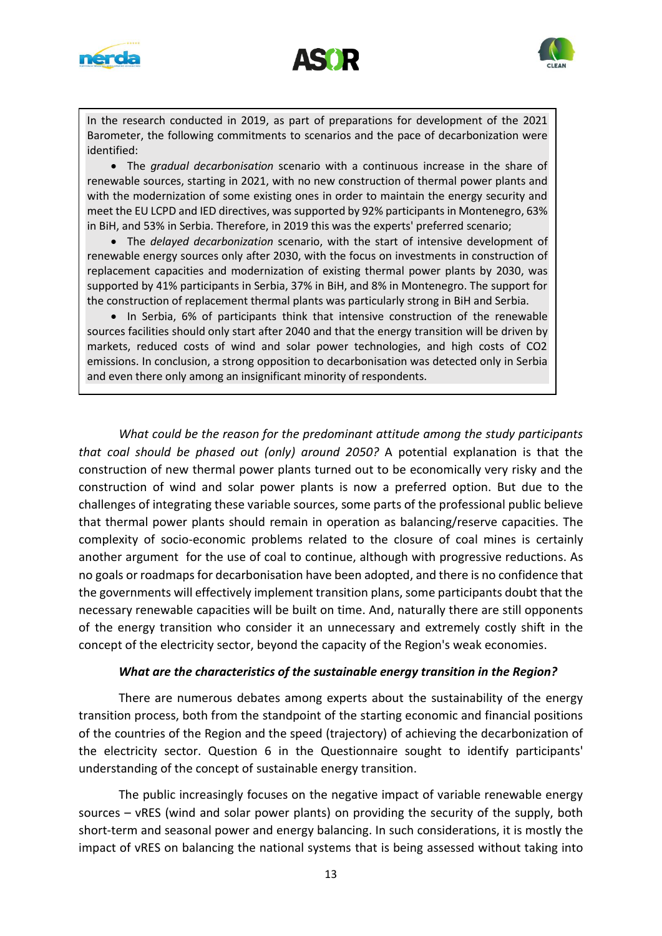





In the research conducted in 2019, as part of preparations for development of the 2021 Barometer, the following commitments to scenarios and the pace of decarbonization were identified:

• The *gradual decarbonisation* scenario with a continuous increase in the share of renewable sources, starting in 2021, with no new construction of thermal power plants and with the modernization of some existing ones in order to maintain the energy security and meet the EU LCPD and IED directives, was supported by 92% participants in Montenegro, 63% in BiH, and 53% in Serbia. Therefore, in 2019 this was the experts' preferred scenario;

• The *delayed decarbonization* scenario, with the start of intensive development of renewable energy sources only after 2030, with the focus on investments in construction of replacement capacities and modernization of existing thermal power plants by 2030, was supported by 41% participants in Serbia, 37% in BiH, and 8% in Montenegro. The support for the construction of replacement thermal plants was particularly strong in BiH and Serbia.

• In Serbia, 6% of participants think that intensive construction of the renewable sources facilities should only start after 2040 and that the energy transition will be driven by markets, reduced costs of wind and solar power technologies, and high costs of CO2 emissions. In conclusion, a strong opposition to decarbonisation was detected only in Serbia and even there only among an insignificant minority of respondents.

*What could be the reason for the predominant attitude among the study participants that coal should be phased out (only) around 2050?* A potential explanation is that the construction of new thermal power plants turned out to be economically very risky and the construction of wind and solar power plants is now a preferred option. But due to the challenges of integrating these variable sources, some parts of the professional public believe that thermal power plants should remain in operation as balancing/reserve capacities. The complexity of socio-economic problems related to the closure of coal mines is certainly another argument for the use of coal to continue, although with progressive reductions. As no goals or roadmaps for decarbonisation have been adopted, and there is no confidence that the governments will effectively implement transition plans, some participants doubt that the necessary renewable capacities will be built on time. And, naturally there are still opponents of the energy transition who consider it an unnecessary and extremely costly shift in the concept of the electricity sector, beyond the capacity of the Region's weak economies.

#### *What are the characteristics of the sustainable energy transition in the Region?*

There are numerous debates among experts about the sustainability of the energy transition process, both from the standpoint of the starting economic and financial positions of the countries of the Region and the speed (trajectory) of achieving the decarbonization of the electricity sector. Question 6 in the Questionnaire sought to identify participants' understanding of the concept of sustainable energy transition.

The public increasingly focuses on the negative impact of variable renewable energy sources – vRES (wind and solar power plants) on providing the security of the supply, both short-term and seasonal power and energy balancing. In such considerations, it is mostly the impact of vRES on balancing the national systems that is being assessed without taking into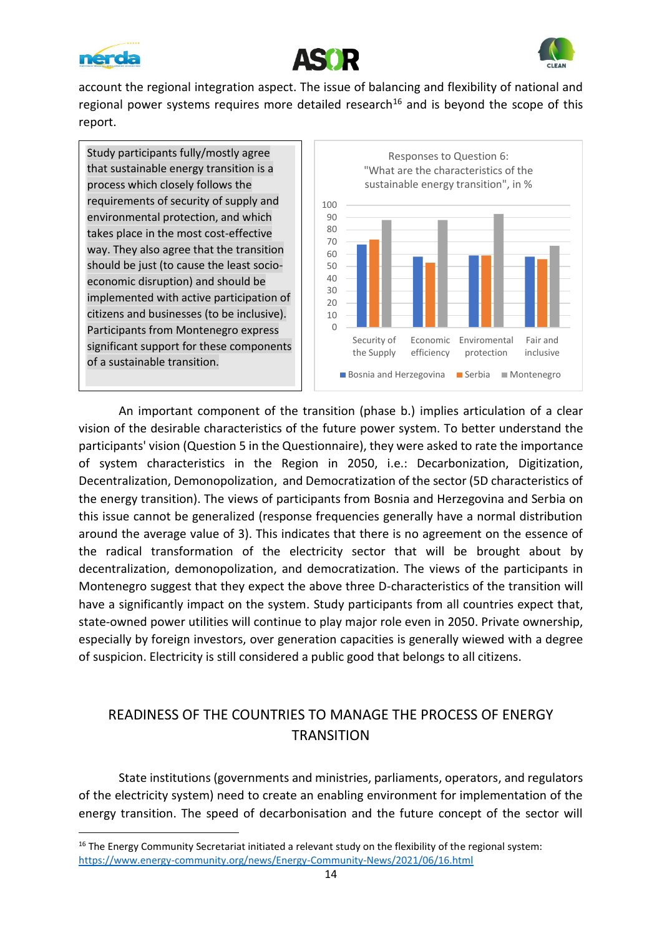





account the regional integration aspect. The issue of balancing and flexibility of national and regional power systems requires more detailed research<sup>16</sup> and is beyond the scope of this report.

Study participants fully/mostly agree that sustainable energy transition is a process which closely follows the requirements of security of supply and environmental protection, and which takes place in the most cost-effective way. They also agree that the transition should be just (to cause the least socioeconomic disruption) and should be implemented with active participation of citizens and businesses (to be inclusive). Participants from Montenegro express significant support for these components of a sustainable transition.



An important component of the transition (phase b.) implies articulation of a clear vision of the desirable characteristics of the future power system. To better understand the participants' vision (Question 5 in the Questionnaire), they were asked to rate the importance of system characteristics in the Region in 2050, i.e.: Decarbonization, Digitization, Decentralization, Demonopolization, and Democratization of the sector (5D characteristics of the energy transition). The views of participants from Bosnia and Herzegovina and Serbia on this issue cannot be generalized (response frequencies generally have a normal distribution around the average value of 3). This indicates that there is no agreement on the essence of the radical transformation of the electricity sector that will be brought about by decentralization, demonopolization, and democratization. The views of the participants in Montenegro suggest that they expect the above three D-characteristics of the transition will have a significantly impact on the system. Study participants from all countries expect that, state-owned power utilities will continue to play major role even in 2050. Private ownership, especially by foreign investors, over generation capacities is generally wiewed with a degree of suspicion. Electricity is still considered a public good that belongs to all citizens.

## READINESS OF THE COUNTRIES TO MANAGE THE PROCESS OF ENERGY **TRANSITION**

State institutions (governments and ministries, parliaments, operators, and regulators of the electricity system) need to create an enabling environment for implementation of the energy transition. The speed of decarbonisation and the future concept of the sector will

<sup>&</sup>lt;sup>16</sup> The Energy Community Secretariat initiated a relevant study on the flexibility of the regional system: <https://www.energy-community.org/news/Energy-Community-News/2021/06/16.html>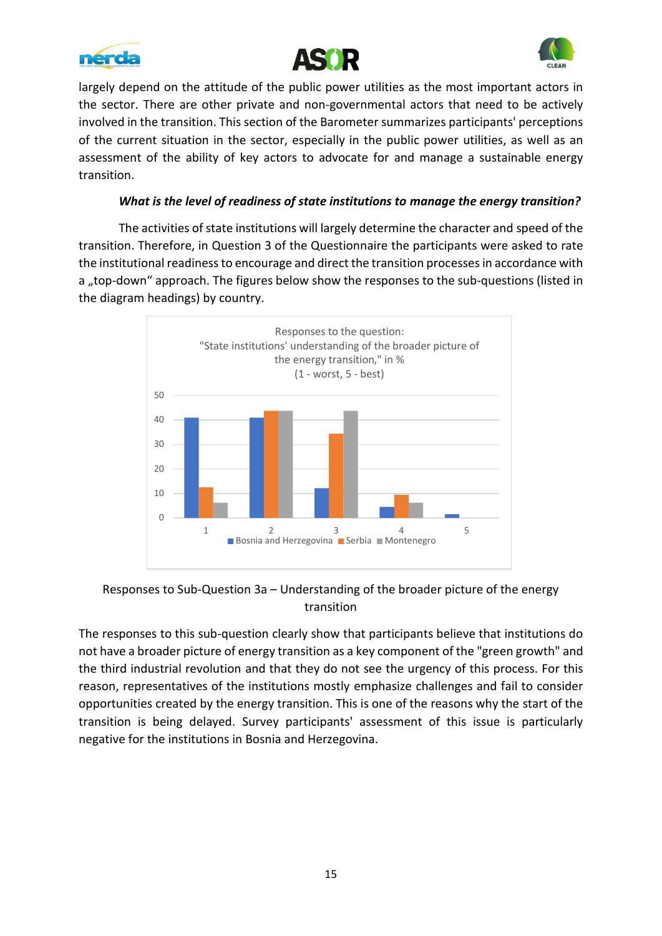





largely depend on the attitude of the public power utilities as the most important actors in the sector. There are other private and non-governmental actors that need to be actively involved in the transition. This section of the Barometer summarizes participants' perceptions of the current situation in the sector, especially in the public power utilities, as well as an assessment of the ability of key actors to advocate for and manage a sustainable energy transition.

#### *What is the level of readiness of state institutions to manage the energy transition?*

The activities of state institutions will largely determine the character and speed of the transition. Therefore, in Question 3 of the Questionnaire the participants were asked to rate the institutional readiness to encourage and direct the transition processes in accordance with a "top-down" approach. The figures below show the responses to the sub-questions (listed in the diagram headings) by country.



## Responses to Sub-Question 3a – Understanding of the broader picture of the energy transition

The responses to this sub-question clearly show that participants believe that institutions do not have a broader picture of energy transition as a key component of the "green growth" and the third industrial revolution and that they do not see the urgency of this process. For this reason, representatives of the institutions mostly emphasize challenges and fail to consider opportunities created by the energy transition. This is one of the reasons why the start of the transition is being delayed. Survey participants' assessment of this issue is particularly negative for the institutions in Bosnia and Herzegovina.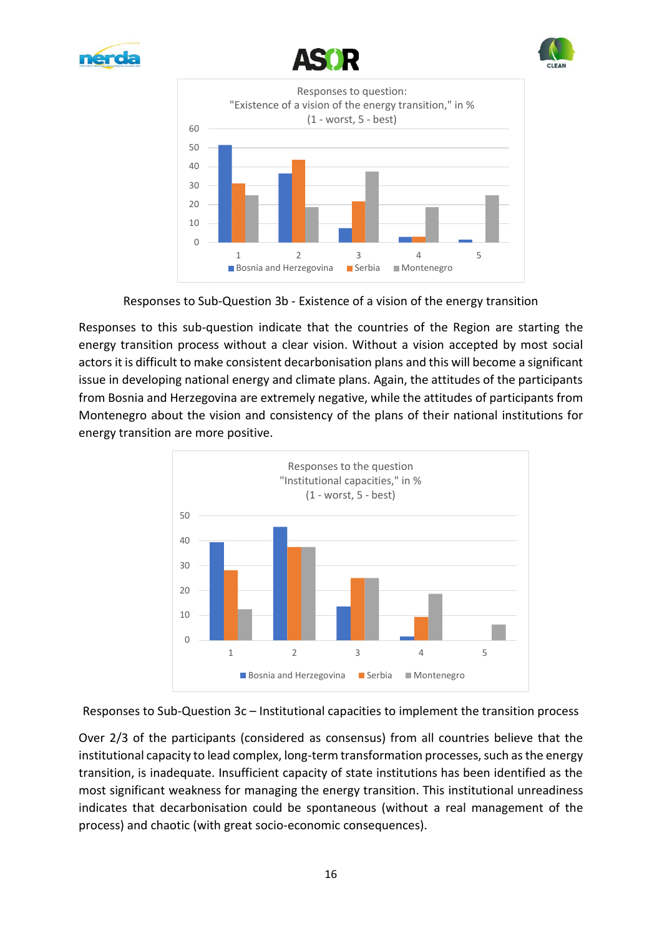







Responses to Sub-Question 3b - Existence of a vision of the energy transition

Responses to this sub-question indicate that the countries of the Region are starting the energy transition process without a clear vision. Without a vision accepted by most social actors it is difficult to make consistent decarbonisation plans and this will become a significant issue in developing national energy and climate plans. Again, the attitudes of the participants from Bosnia and Herzegovina are extremely negative, while the attitudes of participants from Montenegro about the vision and consistency of the plans of their national institutions for energy transition are more positive.



Responses to Sub-Question 3c – Institutional capacities to implement the transition process

Over 2/3 of the participants (considered as consensus) from all countries believe that the institutional capacity to lead complex, long-term transformation processes, such as the energy transition, is inadequate. Insufficient capacity of state institutions has been identified as the most significant weakness for managing the energy transition. This institutional unreadiness indicates that decarbonisation could be spontaneous (without a real management of the process) and chaotic (with great socio-economic consequences).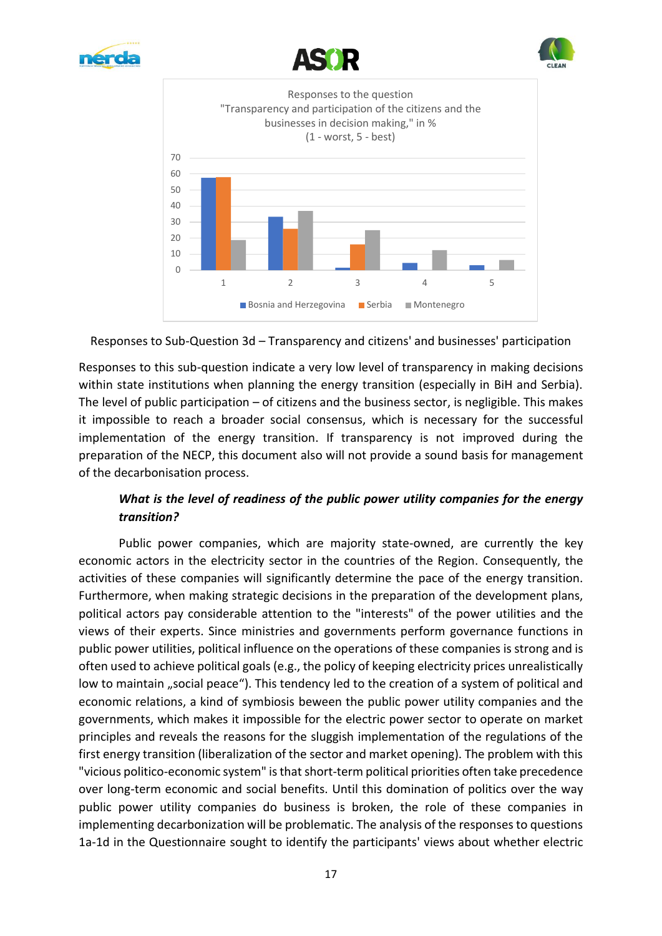







Responses to Sub-Question 3d – Transparency and citizens' and businesses' participation

Responses to this sub-question indicate a very low level of transparency in making decisions within state institutions when planning the energy transition (especially in BiH and Serbia). The level of public participation  $-$  of citizens and the business sector, is negligible. This makes it impossible to reach a broader social consensus, which is necessary for the successful implementation of the energy transition. If transparency is not improved during the preparation of the NECP, this document also will not provide a sound basis for management of the decarbonisation process.

## *What is the level of readiness of the public power utility companies for the energy transition?*

Public power companies, which are majority state-owned, are currently the key economic actors in the electricity sector in the countries of the Region. Consequently, the activities of these companies will significantly determine the pace of the energy transition. Furthermore, when making strategic decisions in the preparation of the development plans, political actors pay considerable attention to the "interests" of the power utilities and the views of their experts. Since ministries and governments perform governance functions in public power utilities, political influence on the operations of these companies is strong and is often used to achieve political goals (e.g., the policy of keeping electricity prices unrealistically low to maintain "social peace"). This tendency led to the creation of a system of political and economic relations, a kind of symbiosis beween the public power utility companies and the governments, which makes it impossible for the electric power sector to operate on market principles and reveals the reasons for the sluggish implementation of the regulations of the first energy transition (liberalization of the sector and market opening). The problem with this "vicious politico-economic system" is that short-term political priorities often take precedence over long-term economic and social benefits. Until this domination of politics over the way public power utility companies do business is broken, the role of these companies in implementing decarbonization will be problematic. The analysis of the responses to questions 1a-1d in the Questionnaire sought to identify the participants' views about whether electric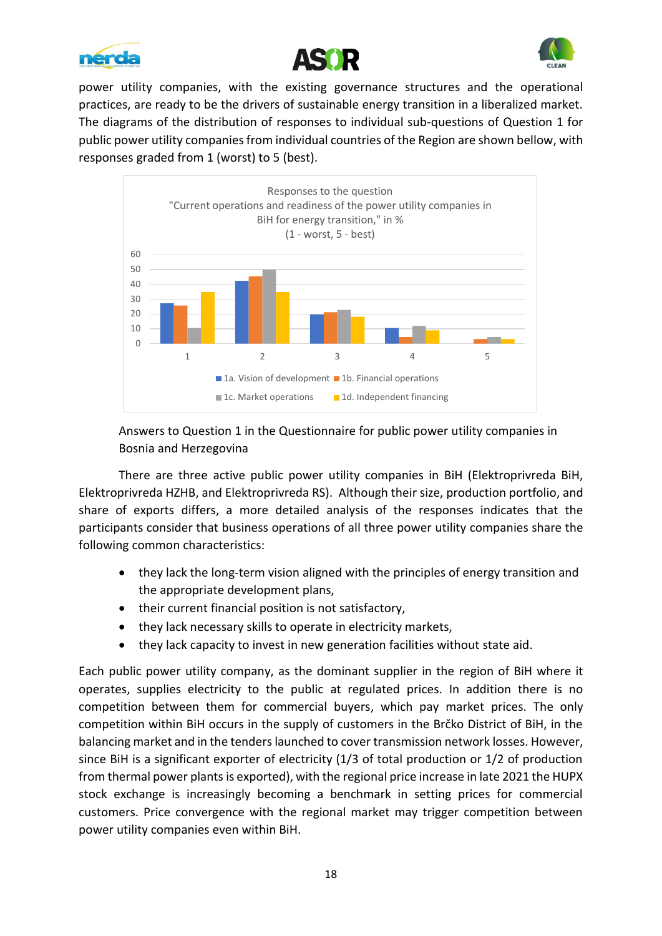





power utility companies, with the existing governance structures and the operational practices, are ready to be the drivers of sustainable energy transition in a liberalized market. The diagrams of the distribution of responses to individual sub-questions of Question 1 for public power utility companies from individual countries of the Region are shown bellow, with responses graded from 1 (worst) to 5 (best).



## Answers to Question 1 in the Questionnaire for public power utility companies in Bosnia and Herzegovina

There are three active public power utility companies in BiH (Elektroprivreda BiH, Elektroprivreda HZHB, and Elektroprivreda RS). Although their size, production portfolio, and share of exports differs, a more detailed analysis of the responses indicates that the participants consider that business operations of all three power utility companies share the following common characteristics:

- they lack the long-term vision aligned with the principles of energy transition and the appropriate development plans,
- their current financial position is not satisfactory,
- they lack necessary skills to operate in electricity markets,
- they lack capacity to invest in new generation facilities without state aid.

Each public power utility company, as the dominant supplier in the region of BiH where it operates, supplies electricity to the public at regulated prices. In addition there is no competition between them for commercial buyers, which pay market prices. The only competition within BiH occurs in the supply of customers in the Brčko District of BiH, in the balancing market and in the tenders launched to cover transmission network losses. However, since BiH is a significant exporter of electricity (1/3 of total production or 1/2 of production from thermal power plants is exported), with the regional price increase in late 2021 the HUPX stock exchange is increasingly becoming a benchmark in setting prices for commercial customers. Price convergence with the regional market may trigger competition between power utility companies even within BiH.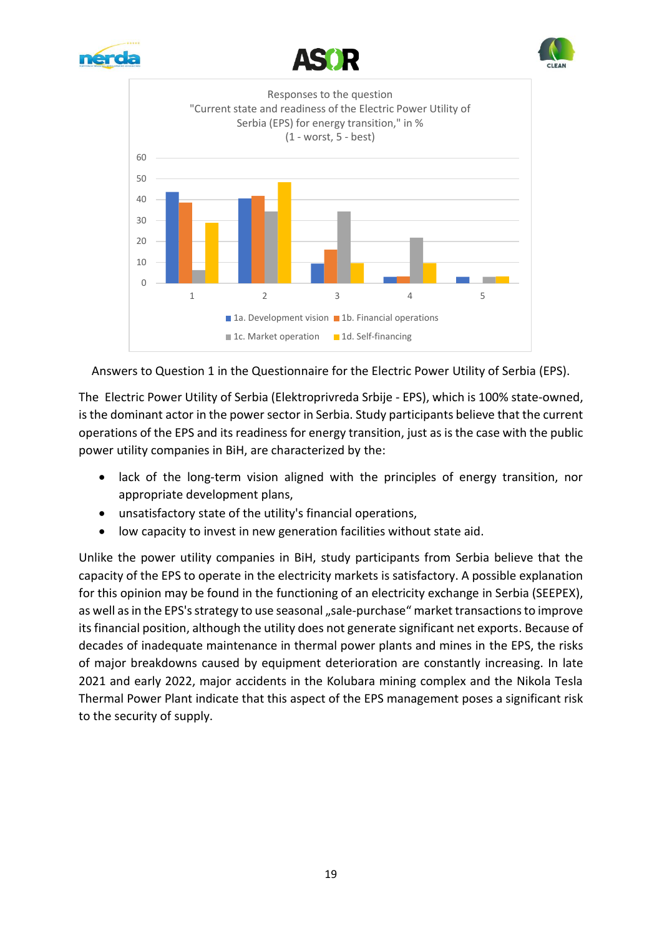







Answers to Question 1 in the Questionnaire for the Electric Power Utility of Serbia (EPS).

The Electric Power Utility of Serbia (Elektroprivreda Srbije - EPS), which is 100% state-owned, is the dominant actor in the power sector in Serbia. Study participants believe that the current operations of the EPS and its readiness for energy transition, just as is the case with the public power utility companies in BiH, are characterized by the:

- lack of the long-term vision aligned with the principles of energy transition, nor appropriate development plans,
- unsatisfactory state of the utility's financial operations,
- low capacity to invest in new generation facilities without state aid.

Unlike the power utility companies in BiH, study participants from Serbia believe that the capacity of the EPS to operate in the electricity markets is satisfactory. A possible explanation for this opinion may be found in the functioning of an electricity exchange in Serbia (SEEPEX), as well as in the EPS's strategy to use seasonal "sale-purchase" market transactions to improve its financial position, although the utility does not generate significant net exports. Because of decades of inadequate maintenance in thermal power plants and mines in the EPS, the risks of major breakdowns caused by equipment deterioration are constantly increasing. In late 2021 and early 2022, major accidents in the Kolubara mining complex and the Nikola Tesla Thermal Power Plant indicate that this aspect of the EPS management poses a significant risk to the security of supply.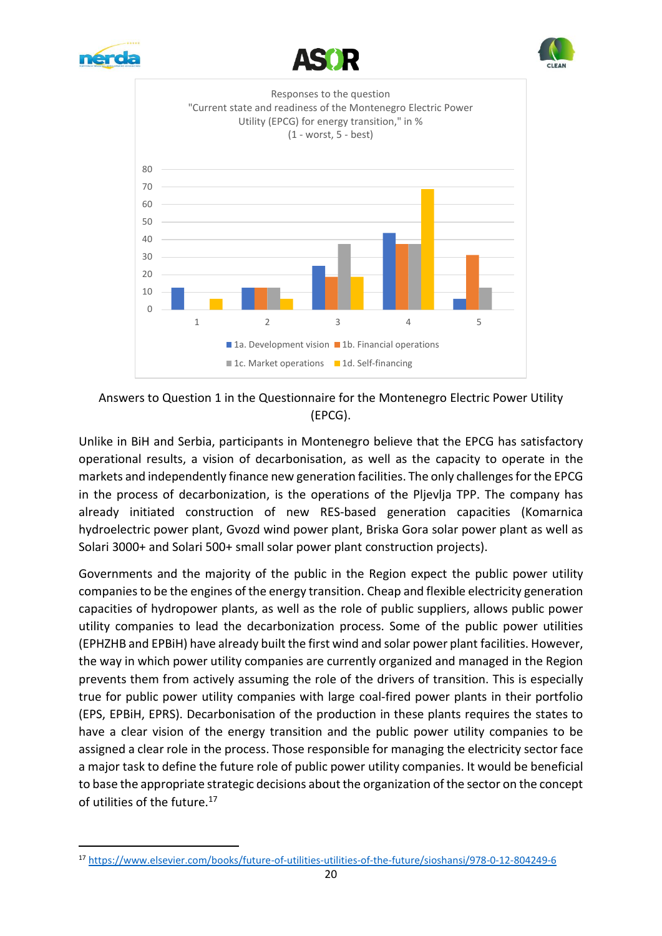







Answers to Question 1 in the Questionnaire for the Montenegro Electric Power Utility (EPCG).

Unlike in BiH and Serbia, participants in Montenegro believe that the EPCG has satisfactory operational results, a vision of decarbonisation, as well as the capacity to operate in the markets and independently finance new generation facilities. The only challenges for the EPCG in the process of decarbonization, is the operations of the Pljevlja TPP. The company has already initiated construction of new RES-based generation capacities (Komarnica hydroelectric power plant, Gvozd wind power plant, Briska Gora solar power plant as well as Solari 3000+ and Solari 500+ small solar power plant construction projects).

Governments and the majority of the public in the Region expect the public power utility companies to be the engines of the energy transition. Cheap and flexible electricity generation capacities of hydropower plants, as well as the role of public suppliers, allows public power utility companies to lead the decarbonization process. Some of the public power utilities (EPHZHB and EPBiH) have already built the first wind and solar power plant facilities. However, the way in which power utility companies are currently organized and managed in the Region prevents them from actively assuming the role of the drivers of transition. This is especially true for public power utility companies with large coal-fired power plants in their portfolio (EPS, EPBiH, EPRS). Decarbonisation of the production in these plants requires the states to have a clear vision of the energy transition and the public power utility companies to be assigned a clear role in the process. Those responsible for managing the electricity sector face a major task to define the future role of public power utility companies. It would be beneficial to base the appropriate strategic decisions about the organization of the sector on the concept of utilities of the future.<sup>17</sup>

<sup>17</sup> <https://www.elsevier.com/books/future-of-utilities-utilities-of-the-future/sioshansi/978-0-12-804249-6>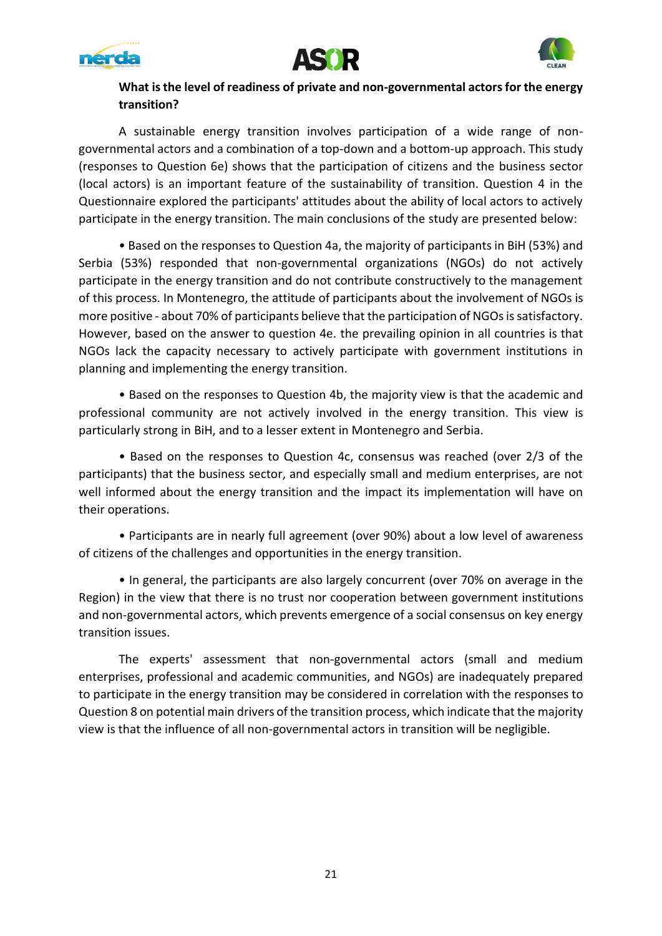





### **What is the level of readiness of private and non-governmental actors for the energy transition?**

A sustainable energy transition involves participation of a wide range of nongovernmental actors and a combination of a top-down and a bottom-up approach. This study (responses to Question 6e) shows that the participation of citizens and the business sector (local actors) is an important feature of the sustainability of transition. Question 4 in the Questionnaire explored the participants' attitudes about the ability of local actors to actively participate in the energy transition. The main conclusions of the study are presented below:

• Based on the responses to Question 4a, the majority of participants in BiH (53%) and Serbia (53%) responded that non-governmental organizations (NGOs) do not actively participate in the energy transition and do not contribute constructively to the management of this process. In Montenegro, the attitude of participants about the involvement of NGOs is more positive - about 70% of participants believe that the participation of NGOs is satisfactory. However, based on the answer to question 4e. the prevailing opinion in all countries is that NGOs lack the capacity necessary to actively participate with government institutions in planning and implementing the energy transition.

• Based on the responses to Question 4b, the majority view is that the academic and professional community are not actively involved in the energy transition. This view is particularly strong in BiH, and to a lesser extent in Montenegro and Serbia.

• Based on the responses to Question 4c, consensus was reached (over 2/3 of the participants) that the business sector, and especially small and medium enterprises, are not well informed about the energy transition and the impact its implementation will have on their operations.

• Participants are in nearly full agreement (over 90%) about a low level of awareness of citizens of the challenges and opportunities in the energy transition.

• In general, the participants are also largely concurrent (over 70% on average in the Region) in the view that there is no trust nor cooperation between government institutions and non-governmental actors, which prevents emergence of a social consensus on key energy transition issues.

The experts' assessment that non-governmental actors (small and medium enterprises, professional and academic communities, and NGOs) are inadequately prepared to participate in the energy transition may be considered in correlation with the responses to Question 8 on potential main drivers of the transition process, which indicate that the majority view is that the influence of all non-governmental actors in transition will be negligible.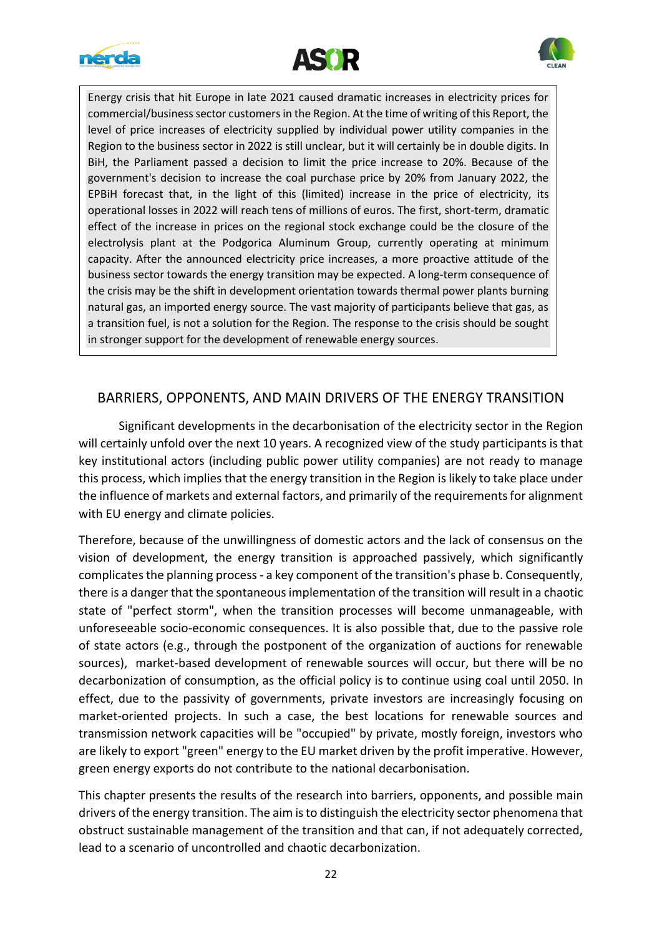





Energy crisis that hit Europe in late 2021 caused dramatic increases in electricity prices for commercial/business sector customers in the Region. At the time of writing of this Report, the level of price increases of electricity supplied by individual power utility companies in the Region to the business sector in 2022 is still unclear, but it will certainly be in double digits. In BiH, the Parliament passed a decision to limit the price increase to 20%. Because of the government's decision to increase the coal purchase price by 20% from January 2022, the EPBiH forecast that, in the light of this (limited) increase in the price of electricity, its operational losses in 2022 will reach tens of millions of euros. The first, short-term, dramatic effect of the increase in prices on the regional stock exchange could be the closure of the electrolysis plant at the Podgorica Aluminum Group, currently operating at minimum capacity. After the announced electricity price increases, a more proactive attitude of the business sector towards the energy transition may be expected. A long-term consequence of the crisis may be the shift in development orientation towards thermal power plants burning natural gas, an imported energy source. The vast majority of participants believe that gas, as a transition fuel, is not a solution for the Region. The response to the crisis should be sought in stronger support for the development of renewable energy sources.

## BARRIERS, OPPONENTS, AND MAIN DRIVERS OF THE ENERGY TRANSITION

Significant developments in the decarbonisation of the electricity sector in the Region will certainly unfold over the next 10 years. A recognized view of the study participants is that key institutional actors (including public power utility companies) are not ready to manage this process, which implies that the energy transition in the Region is likely to take place under the influence of markets and external factors, and primarily of the requirements for alignment with EU energy and climate policies.

Therefore, because of the unwillingness of domestic actors and the lack of consensus on the vision of development, the energy transition is approached passively, which significantly complicates the planning process - a key component of the transition's phase b. Consequently, there is a danger that the spontaneous implementation of the transition will result in a chaotic state of "perfect storm", when the transition processes will become unmanageable, with unforeseeable socio-economic consequences. It is also possible that, due to the passive role of state actors (e.g., through the postponent of the organization of auctions for renewable sources), market-based development of renewable sources will occur, but there will be no decarbonization of consumption, as the official policy is to continue using coal until 2050. In effect, due to the passivity of governments, private investors are increasingly focusing on market-oriented projects. In such a case, the best locations for renewable sources and transmission network capacities will be "occupied" by private, mostly foreign, investors who are likely to export "green" energy to the EU market driven by the profit imperative. However, green energy exports do not contribute to the national decarbonisation.

This chapter presents the results of the research into barriers, opponents, and possible main drivers of the energy transition. The aim is to distinguish the electricity sector phenomena that obstruct sustainable management of the transition and that can, if not adequately corrected, lead to a scenario of uncontrolled and chaotic decarbonization.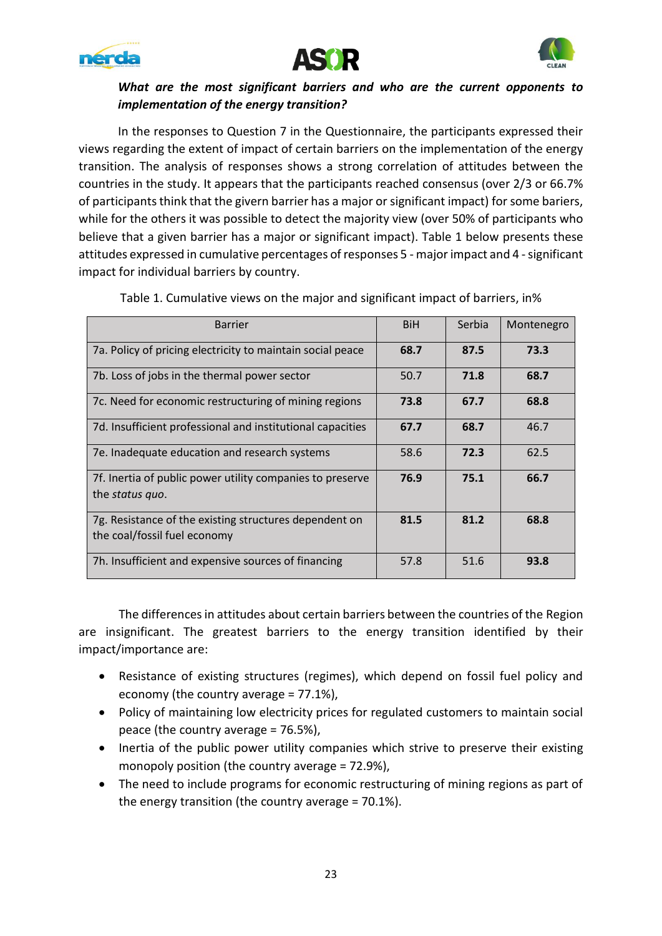





## *What are the most significant barriers and who are the current opponents to implementation of the energy transition?*

In the responses to Question 7 in the Questionnaire, the participants expressed their views regarding the extent of impact of certain barriers on the implementation of the energy transition. The analysis of responses shows a strong correlation of attitudes between the countries in the study. It appears that the participants reached consensus (over 2/3 or 66.7% of participants think that the givern barrier has a major or significant impact) for some bariers, while for the others it was possible to detect the majority view (over 50% of participants who believe that a given barrier has a major or significant impact). Table 1 below presents these attitudes expressed in cumulative percentages of responses 5 - major impact and 4 - significant impact for individual barriers by country.

| <b>Barrier</b>                                                                         | <b>BiH</b> | Serbia | Montenegro |
|----------------------------------------------------------------------------------------|------------|--------|------------|
| 7a. Policy of pricing electricity to maintain social peace                             | 68.7       | 87.5   | 73.3       |
| 7b. Loss of jobs in the thermal power sector                                           | 50.7       | 71.8   | 68.7       |
| 7c. Need for economic restructuring of mining regions                                  | 73.8       | 67.7   | 68.8       |
| 7d. Insufficient professional and institutional capacities                             | 67.7       | 68.7   | 46.7       |
| 7e. Inadequate education and research systems                                          | 58.6       | 72.3   | 62.5       |
| 7f. Inertia of public power utility companies to preserve<br>the <i>status</i> quo.    | 76.9       | 75.1   | 66.7       |
| 7g. Resistance of the existing structures dependent on<br>the coal/fossil fuel economy | 81.5       | 81.2   | 68.8       |
| 7h. Insufficient and expensive sources of financing                                    | 57.8       | 51.6   | 93.8       |

Table 1. Cumulative views on the major and significant impact of barriers, in%

The differences in attitudes about certain barriers between the countries of the Region are insignificant. The greatest barriers to the energy transition identified by their impact/importance are:

- Resistance of existing structures (regimes), which depend on fossil fuel policy and economy (the country average = 77.1%),
- Policy of maintaining low electricity prices for regulated customers to maintain social peace (the country average = 76.5%),
- Inertia of the public power utility companies which strive to preserve their existing monopoly position (the country average = 72.9%),
- The need to include programs for economic restructuring of mining regions as part of the energy transition (the country average = 70.1%).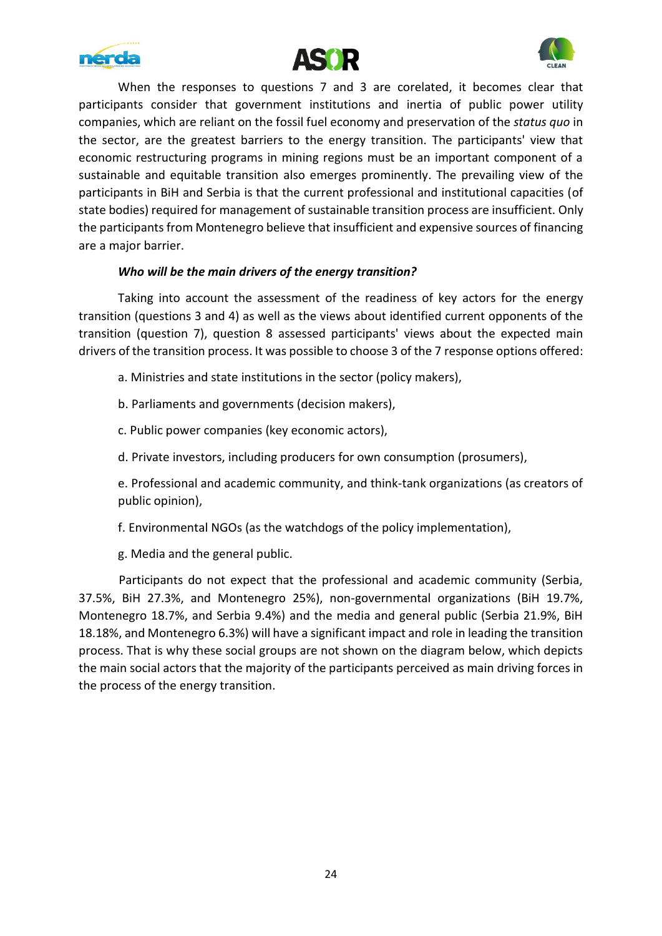





When the responses to questions 7 and 3 are corelated, it becomes clear that participants consider that government institutions and inertia of public power utility companies, which are reliant on the fossil fuel economy and preservation of the *status quo* in the sector, are the greatest barriers to the energy transition. The participants' view that economic restructuring programs in mining regions must be an important component of a sustainable and equitable transition also emerges prominently. The prevailing view of the participants in BiH and Serbia is that the current professional and institutional capacities (of state bodies) required for management of sustainable transition process are insufficient. Only the participants from Montenegro believe that insufficient and expensive sources of financing are a major barrier.

#### *Who will be the main drivers of the energy transition?*

Taking into account the assessment of the readiness of key actors for the energy transition (questions 3 and 4) as well as the views about identified current opponents of the transition (question 7), question 8 assessed participants' views about the expected main drivers of the transition process. It was possible to choose 3 of the 7 response options offered:

- a. Ministries and state institutions in the sector (policy makers),
- b. Parliaments and governments (decision makers),
- c. Public power companies (key economic actors),
- d. Private investors, including producers for own consumption (prosumers),

e. Professional and academic community, and think-tank organizations (as creators of public opinion),

f. Environmental NGOs (as the watchdogs of the policy implementation),

g. Media and the general public.

Participants do not expect that the professional and academic community (Serbia, 37.5%, BiH 27.3%, and Montenegro 25%), non-governmental organizations (BiH 19.7%, Montenegro 18.7%, and Serbia 9.4%) and the media and general public (Serbia 21.9%, BiH 18.18%, and Montenegro 6.3%) will have a significant impact and role in leading the transition process. That is why these social groups are not shown on the diagram below, which depicts the main social actors that the majority of the participants perceived as main driving forces in the process of the energy transition.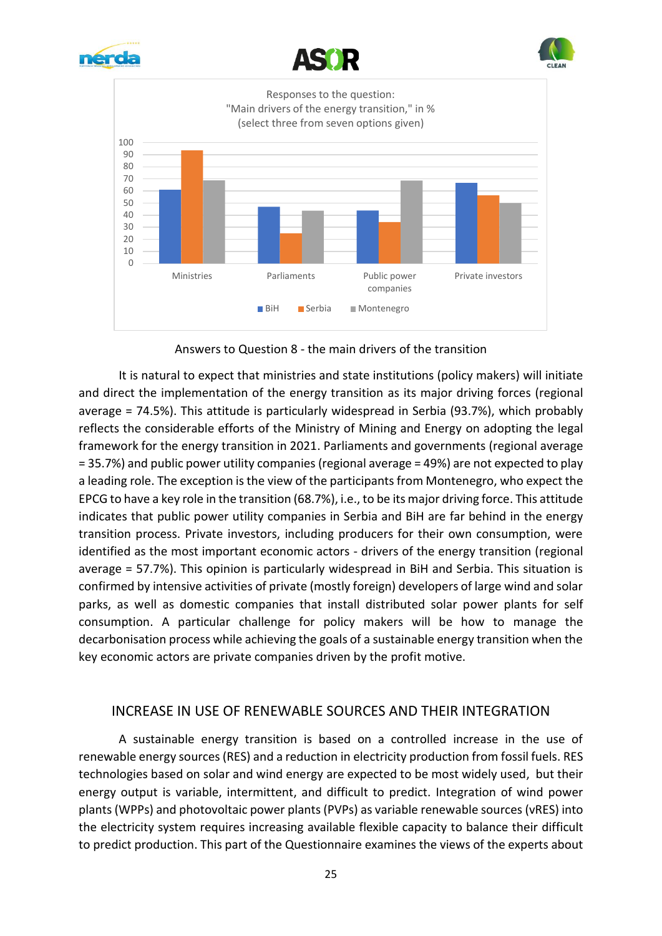







Answers to Question 8 - the main drivers of the transition

It is natural to expect that ministries and state institutions (policy makers) will initiate and direct the implementation of the energy transition as its major driving forces (regional average = 74.5%). This attitude is particularly widespread in Serbia (93.7%), which probably reflects the considerable efforts of the Ministry of Mining and Energy on adopting the legal framework for the energy transition in 2021. Parliaments and governments (regional average = 35.7%) and public power utility companies (regional average = 49%) are not expected to play a leading role. The exception is the view of the participants from Montenegro, who expect the EPCG to have a key role in the transition (68.7%), i.e., to be its major driving force. This attitude indicates that public power utility companies in Serbia and BiH are far behind in the energy transition process. Private investors, including producers for their own consumption, were identified as the most important economic actors - drivers of the energy transition (regional average = 57.7%). This opinion is particularly widespread in BiH and Serbia. This situation is confirmed by intensive activities of private (mostly foreign) developers of large wind and solar parks, as well as domestic companies that install distributed solar power plants for self consumption. A particular challenge for policy makers will be how to manage the decarbonisation process while achieving the goals of a sustainable energy transition when the key economic actors are private companies driven by the profit motive.

## INCREASE IN USE OF RENEWABLE SOURCES AND THEIR INTEGRATION

A sustainable energy transition is based on a controlled increase in the use of renewable energy sources (RES) and a reduction in electricity production from fossil fuels. RES technologies based on solar and wind energy are expected to be most widely used, but their energy output is variable, intermittent, and difficult to predict. Integration of wind power plants (WPPs) and photovoltaic power plants(PVPs) as variable renewable sources (vRES) into the electricity system requires increasing available flexible capacity to balance their difficult to predict production. This part of the Questionnaire examines the views of the experts about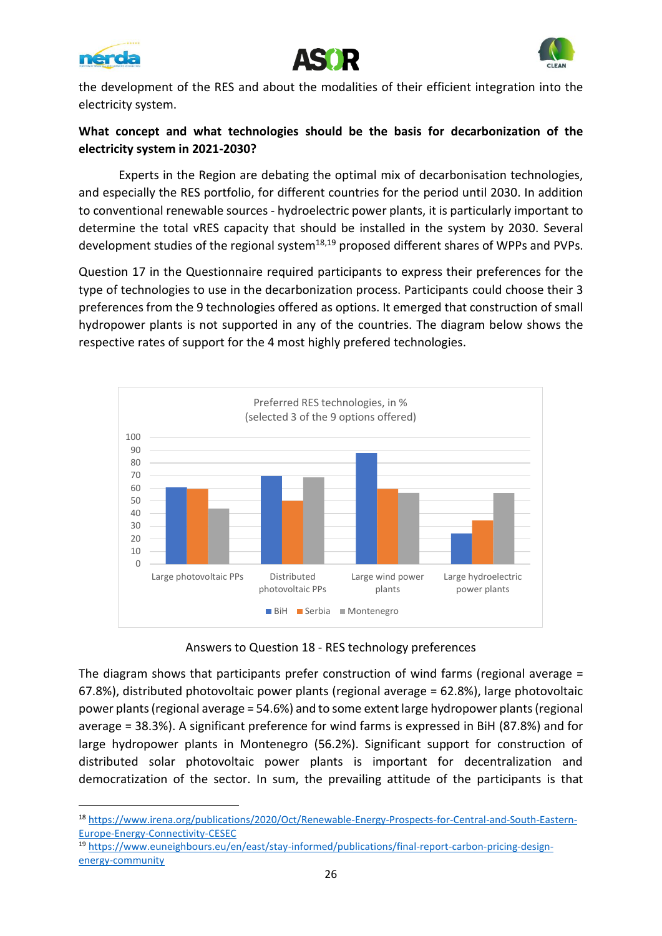





the development of the RES and about the modalities of their efficient integration into the electricity system.

## **What concept and what technologies should be the basis for decarbonization of the electricity system in 2021-2030?**

Experts in the Region are debating the optimal mix of decarbonisation technologies, and especially the RES portfolio, for different countries for the period until 2030. In addition to conventional renewable sources - hydroelectric power plants, it is particularly important to determine the total vRES capacity that should be installed in the system by 2030. Several development studies of the regional system $18,19$  proposed different shares of WPPs and PVPs.

Question 17 in the Questionnaire required participants to express their preferences for the type of technologies to use in the decarbonization process. Participants could choose their 3 preferences from the 9 technologies offered as options. It emerged that construction of small hydropower plants is not supported in any of the countries. The diagram below shows the respective rates of support for the 4 most highly prefered technologies.



Answers to Question 18 - RES technology preferences

The diagram shows that participants prefer construction of wind farms (regional average = 67.8%), distributed photovoltaic power plants (regional average = 62.8%), large photovoltaic power plants (regional average = 54.6%) and to some extent large hydropower plants (regional average = 38.3%). A significant preference for wind farms is expressed in BiH (87.8%) and for large hydropower plants in Montenegro (56.2%). Significant support for construction of distributed solar photovoltaic power plants is important for decentralization and democratization of the sector. In sum, the prevailing attitude of the participants is that

<sup>18</sup> [https://www.irena.org/publications/2020/Oct/Renewable-Energy-Prospects-for-Central-and-South-Eastern-](https://www.irena.org/publications/2020/Oct/Renewable-Energy-Prospects-for-Central-and-South-Eastern-Europe-Energy-Connectivity-CESEC)[Europe-Energy-Connectivity-CESEC](https://www.irena.org/publications/2020/Oct/Renewable-Energy-Prospects-for-Central-and-South-Eastern-Europe-Energy-Connectivity-CESEC)

<sup>19</sup> [https://www.euneighbours.eu/en/east/stay-informed/publications/final-report-carbon-pricing-design](https://www.euneighbours.eu/en/east/stay-informed/publications/final-report-carbon-pricing-design-energy-community)[energy-community](https://www.euneighbours.eu/en/east/stay-informed/publications/final-report-carbon-pricing-design-energy-community)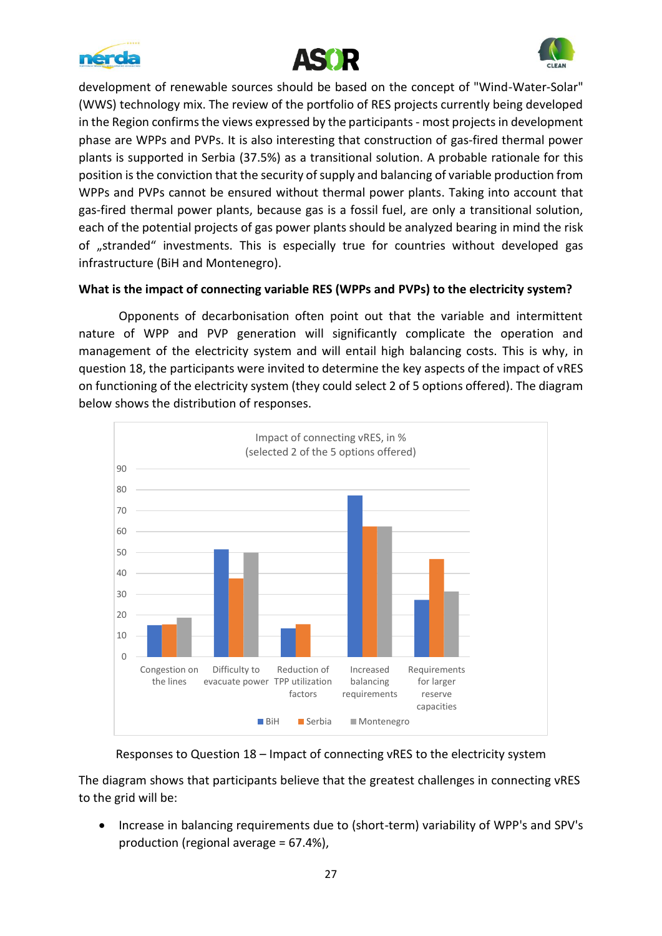





development of renewable sources should be based on the concept of "Wind-Water-Solar" (WWS) technology mix. The review of the portfolio of RES projects currently being developed in the Region confirms the views expressed by the participants - most projects in development phase are WPPs and PVPs. It is also interesting that construction of gas-fired thermal power plants is supported in Serbia (37.5%) as a transitional solution. A probable rationale for this position isthe conviction that the security of supply and balancing of variable production from WPPs and PVPs cannot be ensured without thermal power plants. Taking into account that gas-fired thermal power plants, because gas is a fossil fuel, are only a transitional solution, each of the potential projects of gas power plants should be analyzed bearing in mind the risk of "stranded" investments. This is especially true for countries without developed gas infrastructure (BiH and Montenegro).

#### **What is the impact of connecting variable RES (WPPs and PVPs) to the electricity system?**

Opponents of decarbonisation often point out that the variable and intermittent nature of WPP and PVP generation will significantly complicate the operation and management of the electricity system and will entail high balancing costs. This is why, in question 18, the participants were invited to determine the key aspects of the impact of vRES on functioning of the electricity system (they could select 2 of 5 options offered). The diagram below shows the distribution of responses.



Responses to Question 18 – Impact of connecting vRES to the electricity system

The diagram shows that participants believe that the greatest challenges in connecting vRES to the grid will be:

• Increase in balancing requirements due to (short-term) variability of WPP's and SPV's production (regional average = 67.4%),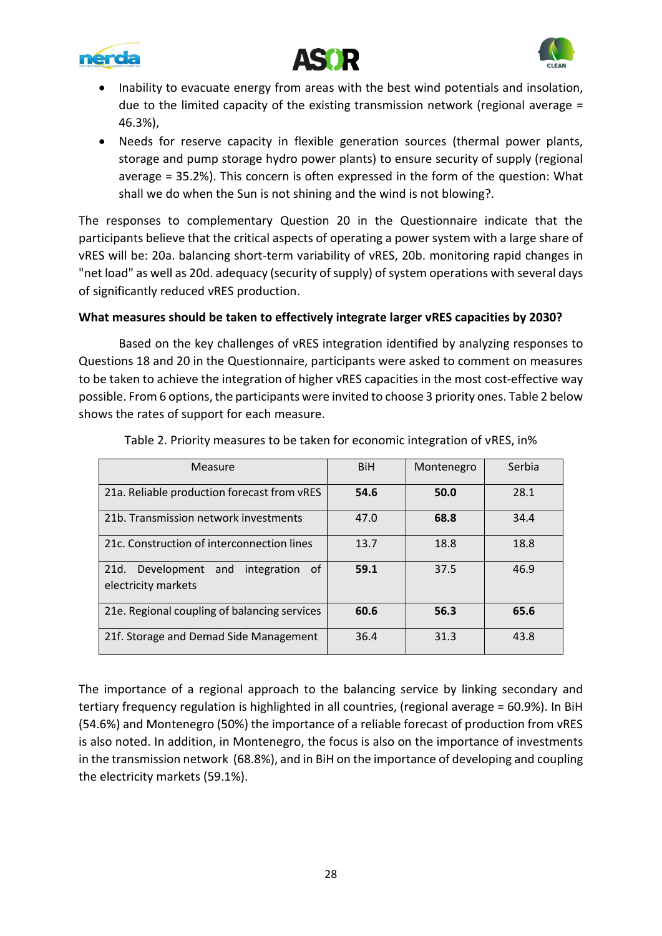





- Inability to evacuate energy from areas with the best wind potentials and insolation, due to the limited capacity of the existing transmission network (regional average = 46.3%),
- Needs for reserve capacity in flexible generation sources (thermal power plants, storage and pump storage hydro power plants) to ensure security of supply (regional average = 35.2%). This concern is often expressed in the form of the question: What shall we do when the Sun is not shining and the wind is not blowing?.

The responses to complementary Question 20 in the Questionnaire indicate that the participants believe that the critical aspects of operating a power system with a large share of vRES will be: 20a. balancing short-term variability of vRES, 20b. monitoring rapid changes in "net load" as well as 20d. adequacy (security of supply) of system operations with several days of significantly reduced vRES production.

#### **What measures should be taken to effectively integrate larger vRES capacities by 2030?**

Based on the key challenges of vRES integration identified by analyzing responses to Questions 18 and 20 in the Questionnaire, participants were asked to comment on measures to be taken to achieve the integration of higher vRES capacities in the most cost-effective way possible. From 6 options, the participants were invited to choose 3 priority ones. Table 2 below shows the rates of support for each measure.

| Measure                                                               | <b>BiH</b> | Montenegro | Serbia |
|-----------------------------------------------------------------------|------------|------------|--------|
| 21a. Reliable production forecast from vRES                           | 54.6       | 50.0       | 28.1   |
| 21b. Transmission network investments                                 | 47.0       | 68.8       | 34.4   |
| 21c. Construction of interconnection lines                            | 13.7       | 18.8       | 18.8   |
| 21d.<br>Development and<br>integration<br>- of<br>electricity markets | 59.1       | 37.5       | 46.9   |
| 21e. Regional coupling of balancing services                          | 60.6       | 56.3       | 65.6   |
| 21f. Storage and Demad Side Management                                | 36.4       | 31.3       | 43.8   |

Table 2. Priority measures to be taken for economic integration of vRES, in%

The importance of a regional approach to the balancing service by linking secondary and tertiary frequency regulation is highlighted in all countries, (regional average = 60.9%). In BiH (54.6%) and Montenegro (50%) the importance of a reliable forecast of production from vRES is also noted. In addition, in Montenegro, the focus is also on the importance of investments in the transmission network (68.8%), and in BiH on the importance of developing and coupling the electricity markets (59.1%).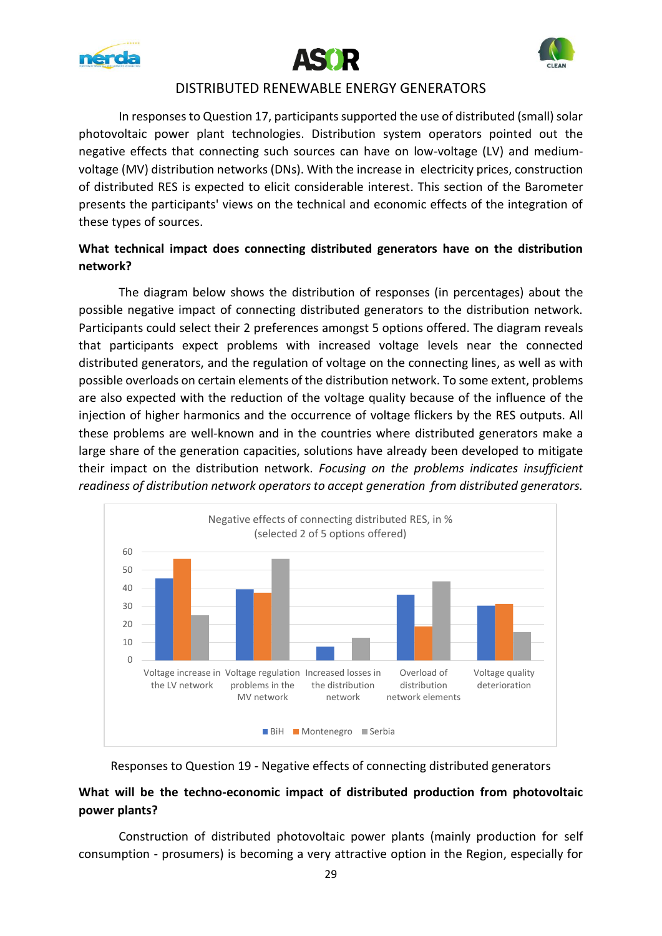





#### DISTRIBUTED RENEWABLE ENERGY GENERATORS

In responses to Question 17, participants supported the use of distributed (small) solar photovoltaic power plant technologies. Distribution system operators pointed out the negative effects that connecting such sources can have on low-voltage (LV) and mediumvoltage (MV) distribution networks (DNs). With the increase in electricity prices, construction of distributed RES is expected to elicit considerable interest. This section of the Barometer presents the participants' views on the technical and economic effects of the integration of these types of sources.

## **What technical impact does connecting distributed generators have on the distribution network?**

The diagram below shows the distribution of responses (in percentages) about the possible negative impact of connecting distributed generators to the distribution network. Participants could select their 2 preferences amongst 5 options offered. The diagram reveals that participants expect problems with increased voltage levels near the connected distributed generators, and the regulation of voltage on the connecting lines, as well as with possible overloads on certain elements of the distribution network. To some extent, problems are also expected with the reduction of the voltage quality because of the influence of the injection of higher harmonics and the occurrence of voltage flickers by the RES outputs. All these problems are well-known and in the countries where distributed generators make a large share of the generation capacities, solutions have already been developed to mitigate their impact on the distribution network. *Focusing on the problems indicates insufficient readiness of distribution network operators to accept generation from distributed generators.*



#### Responses to Question 19 - Negative effects of connecting distributed generators

## **What will be the techno-economic impact of distributed production from photovoltaic power plants?**

Construction of distributed photovoltaic power plants (mainly production for self consumption - prosumers) is becoming a very attractive option in the Region, especially for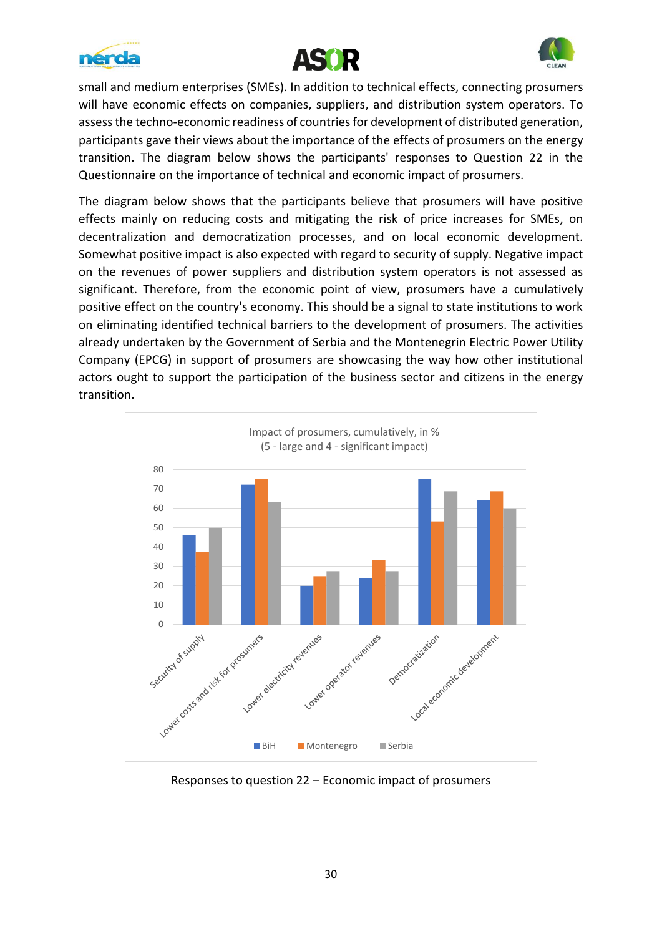





small and medium enterprises (SMEs). In addition to technical effects, connecting prosumers will have economic effects on companies, suppliers, and distribution system operators. To assess the techno-economic readiness of countries for development of distributed generation, participants gave their views about the importance of the effects of prosumers on the energy transition. The diagram below shows the participants' responses to Question 22 in the Questionnaire on the importance of technical and economic impact of prosumers.

The diagram below shows that the participants believe that prosumers will have positive effects mainly on reducing costs and mitigating the risk of price increases for SMEs, on decentralization and democratization processes, and on local economic development. Somewhat positive impact is also expected with regard to security of supply. Negative impact on the revenues of power suppliers and distribution system operators is not assessed as significant. Therefore, from the economic point of view, prosumers have a cumulatively positive effect on the country's economy. This should be a signal to state institutions to work on eliminating identified technical barriers to the development of prosumers. The activities already undertaken by the Government of Serbia and the Montenegrin Electric Power Utility Company (EPCG) in support of prosumers are showcasing the way how other institutional actors ought to support the participation of the business sector and citizens in the energy transition.



Responses to question 22 – Economic impact of prosumers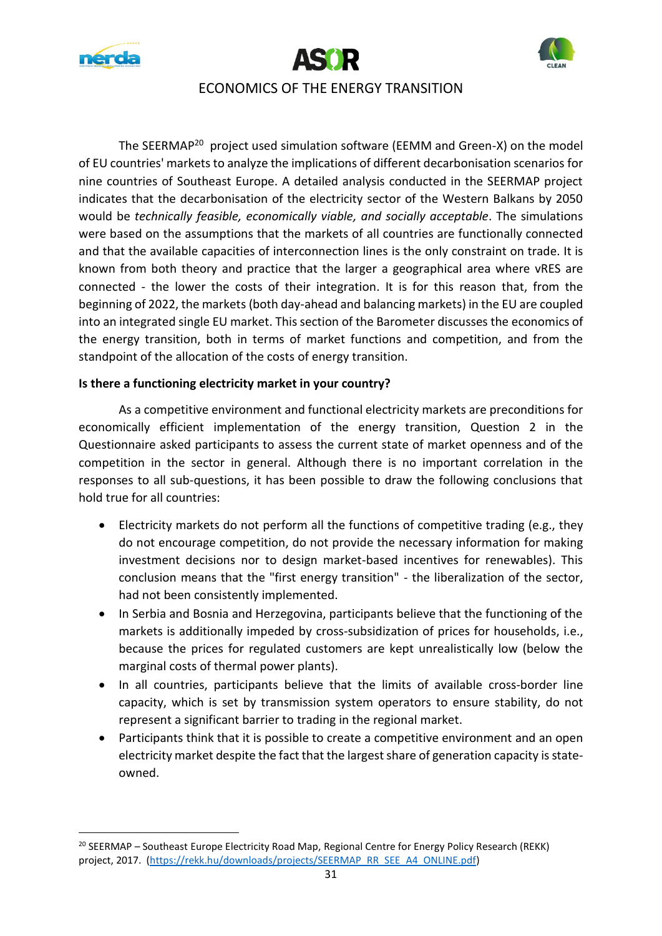





## ECONOMICS OF THE ENERGY TRANSITION

The SEERMAP<sup>20</sup> project used simulation software (EEMM and Green-X) on the model of EU countries' markets to analyze the implications of different decarbonisation scenarios for nine countries of Southeast Europe. A detailed analysis conducted in the SEERMAP project indicates that the decarbonisation of the electricity sector of the Western Balkans by 2050 would be *technically feasible, economically viable, and socially acceptable*. The simulations were based on the assumptions that the markets of all countries are functionally connected and that the available capacities of interconnection lines is the only constraint on trade. It is known from both theory and practice that the larger a geographical area where vRES are connected - the lower the costs of their integration. It is for this reason that, from the beginning of 2022, the markets (both day-ahead and balancing markets) in the EU are coupled into an integrated single EU market. This section of the Barometer discusses the economics of the energy transition, both in terms of market functions and competition, and from the standpoint of the allocation of the costs of energy transition.

#### **Is there a functioning electricity market in your country?**

As a competitive environment and functional electricity markets are preconditions for economically efficient implementation of the energy transition, Question 2 in the Questionnaire asked participants to assess the current state of market openness and of the competition in the sector in general. Although there is no important correlation in the responses to all sub-questions, it has been possible to draw the following conclusions that hold true for all countries:

- Electricity markets do not perform all the functions of competitive trading (e.g., they do not encourage competition, do not provide the necessary information for making investment decisions nor to design market-based incentives for renewables). This conclusion means that the "first energy transition" - the liberalization of the sector, had not been consistently implemented.
- In Serbia and Bosnia and Herzegovina, participants believe that the functioning of the markets is additionally impeded by cross-subsidization of prices for households, i.e., because the prices for regulated customers are kept unrealistically low (below the marginal costs of thermal power plants).
- In all countries, participants believe that the limits of available cross-border line capacity, which is set by transmission system operators to ensure stability, do not represent a significant barrier to trading in the regional market.
- Participants think that it is possible to create a competitive environment and an open electricity market despite the fact that the largest share of generation capacity is stateowned.

<sup>&</sup>lt;sup>20</sup> SEERMAP – Southeast Europe Electricity Road Map, Regional Centre for Energy Policy Research (REKK) project, 2017. [\(https://rekk.hu/downloads/projects/SEERMAP\\_RR\\_SEE\\_A4\\_ONLINE.pdf\)](https://rekk.hu/downloads/projects/SEERMAP_RR_SEE_A4_ONLINE.pdf)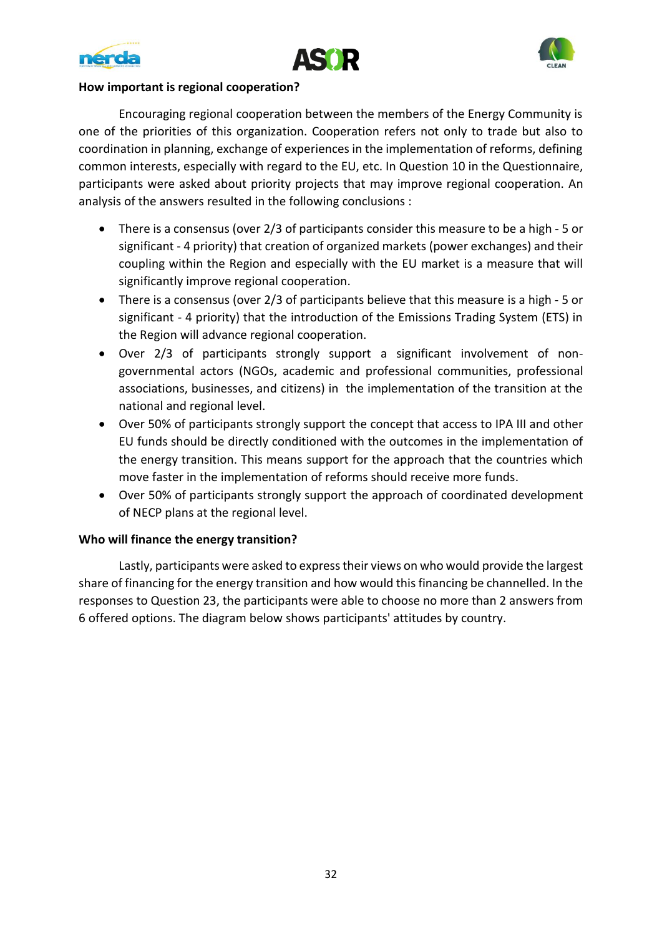





#### **How important is regional cooperation?**

Encouraging regional cooperation between the members of the Energy Community is one of the priorities of this organization. Cooperation refers not only to trade but also to coordination in planning, exchange of experiences in the implementation of reforms, defining common interests, especially with regard to the EU, etc. In Question 10 in the Questionnaire, participants were asked about priority projects that may improve regional cooperation. An analysis of the answers resulted in the following conclusions :

- There is a consensus (over 2/3 of participants consider this measure to be a high 5 or significant - 4 priority) that creation of organized markets (power exchanges) and their coupling within the Region and especially with the EU market is a measure that will significantly improve regional cooperation.
- There is a consensus (over 2/3 of participants believe that this measure is a high 5 or significant - 4 priority) that the introduction of the Emissions Trading System (ETS) in the Region will advance regional cooperation.
- Over 2/3 of participants strongly support a significant involvement of nongovernmental actors (NGOs, academic and professional communities, professional associations, businesses, and citizens) in the implementation of the transition at the national and regional level.
- Over 50% of participants strongly support the concept that access to IPA III and other EU funds should be directly conditioned with the outcomes in the implementation of the energy transition. This means support for the approach that the countries which move faster in the implementation of reforms should receive more funds.
- Over 50% of participants strongly support the approach of coordinated development of NECP plans at the regional level.

#### **Who will finance the energy transition?**

Lastly, participants were asked to express their views on who would provide the largest share of financing for the energy transition and how would this financing be channelled. In the responses to Question 23, the participants were able to choose no more than 2 answers from 6 offered options. The diagram below shows participants' attitudes by country.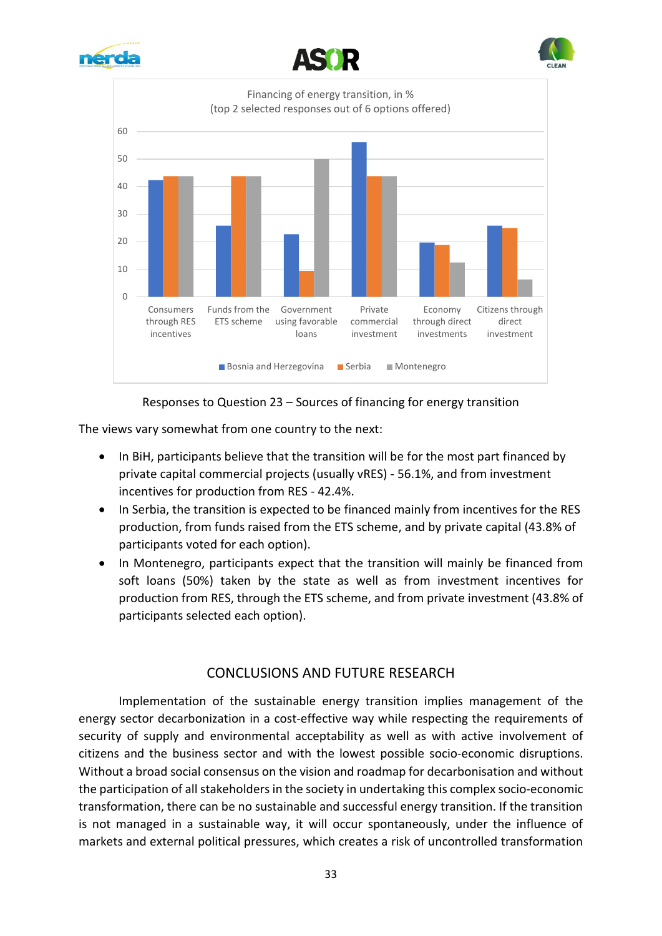









The views vary somewhat from one country to the next:

- In BiH, participants believe that the transition will be for the most part financed by private capital commercial projects (usually vRES) - 56.1%, and from investment incentives for production from RES - 42.4%.
- In Serbia, the transition is expected to be financed mainly from incentives for the RES production, from funds raised from the ETS scheme, and by private capital (43.8% of participants voted for each option).
- In Montenegro, participants expect that the transition will mainly be financed from soft loans (50%) taken by the state as well as from investment incentives for production from RES, through the ETS scheme, and from private investment (43.8% of participants selected each option).

#### CONCLUSIONS AND FUTURE RESEARCH

Implementation of the sustainable energy transition implies management of the energy sector decarbonization in a cost-effective way while respecting the requirements of security of supply and environmental acceptability as well as with active involvement of citizens and the business sector and with the lowest possible socio-economic disruptions. Without a broad social consensus on the vision and roadmap for decarbonisation and without the participation of all stakeholders in the society in undertaking this complex socio-economic transformation, there can be no sustainable and successful energy transition. If the transition is not managed in a sustainable way, it will occur spontaneously, under the influence of markets and external political pressures, which creates a risk of uncontrolled transformation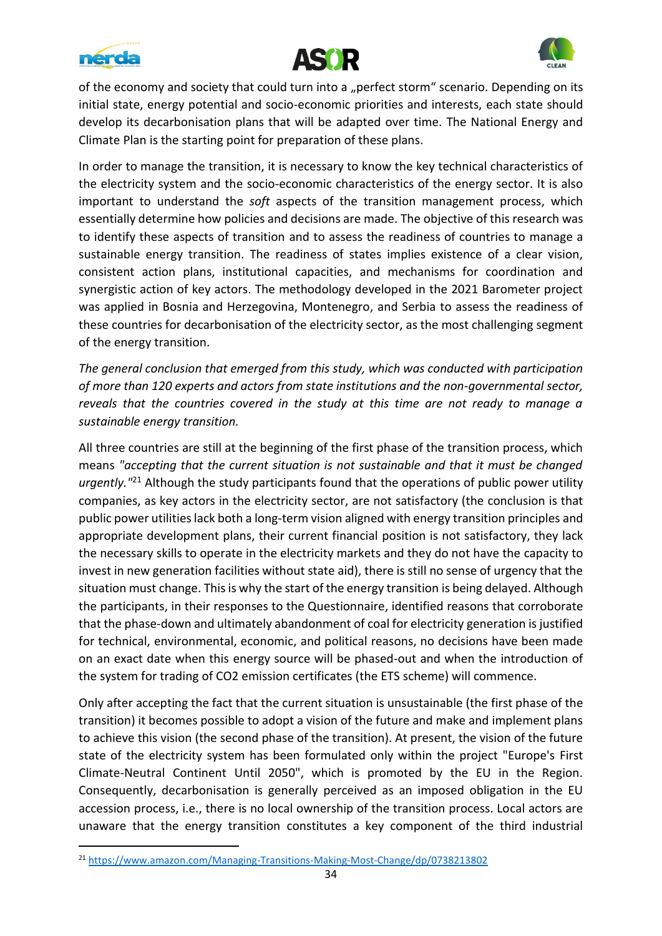





of the economy and society that could turn into a "perfect storm" scenario. Depending on its initial state, energy potential and socio-economic priorities and interests, each state should develop its decarbonisation plans that will be adapted over time. The National Energy and Climate Plan is the starting point for preparation of these plans.

In order to manage the transition, it is necessary to know the key technical characteristics of the electricity system and the socio-economic characteristics of the energy sector. It is also important to understand the *soft* aspects of the transition management process, which essentially determine how policies and decisions are made. The objective of this research was to identify these aspects of transition and to assess the readiness of countries to manage a sustainable energy transition. The readiness of states implies existence of a clear vision, consistent action plans, institutional capacities, and mechanisms for coordination and synergistic action of key actors. The methodology developed in the 2021 Barometer project was applied in Bosnia and Herzegovina, Montenegro, and Serbia to assess the readiness of these countries for decarbonisation of the electricity sector, as the most challenging segment of the energy transition.

*The general conclusion that emerged from this study, which was conducted with participation of more than 120 experts and actors from state institutions and the non-governmental sector, reveals that the countries covered in the study at this time are not ready to manage a sustainable energy transition.*

All three countries are still at the beginning of the first phase of the transition process, which means *"accepting that the current situation is not sustainable and that it must be changed urgently."* <sup>21</sup> Although the study participants found that the operations of public power utility companies, as key actors in the electricity sector, are not satisfactory (the conclusion is that public power utilities lack both a long-term vision aligned with energy transition principles and appropriate development plans, their current financial position is not satisfactory, they lack the necessary skills to operate in the electricity markets and they do not have the capacity to invest in new generation facilities without state aid), there is still no sense of urgency that the situation must change. This is why the start of the energy transition is being delayed. Although the participants, in their responses to the Questionnaire, identified reasons that corroborate that the phase-down and ultimately abandonment of coal for electricity generation is justified for technical, environmental, economic, and political reasons, no decisions have been made on an exact date when this energy source will be phased-out and when the introduction of the system for trading of CO2 emission certificates (the ETS scheme) will commence.

Only after accepting the fact that the current situation is unsustainable (the first phase of the transition) it becomes possible to adopt a vision of the future and make and implement plans to achieve this vision (the second phase of the transition). At present, the vision of the future state of the electricity system has been formulated only within the project "Europe's First Climate-Neutral Continent Until 2050", which is promoted by the EU in the Region. Consequently, decarbonisation is generally perceived as an imposed obligation in the EU accession process, i.e., there is no local ownership of the transition process. Local actors are unaware that the energy transition constitutes a key component of the third industrial

<sup>21</sup> <https://www.amazon.com/Managing-Transitions-Making-Most-Change/dp/0738213802>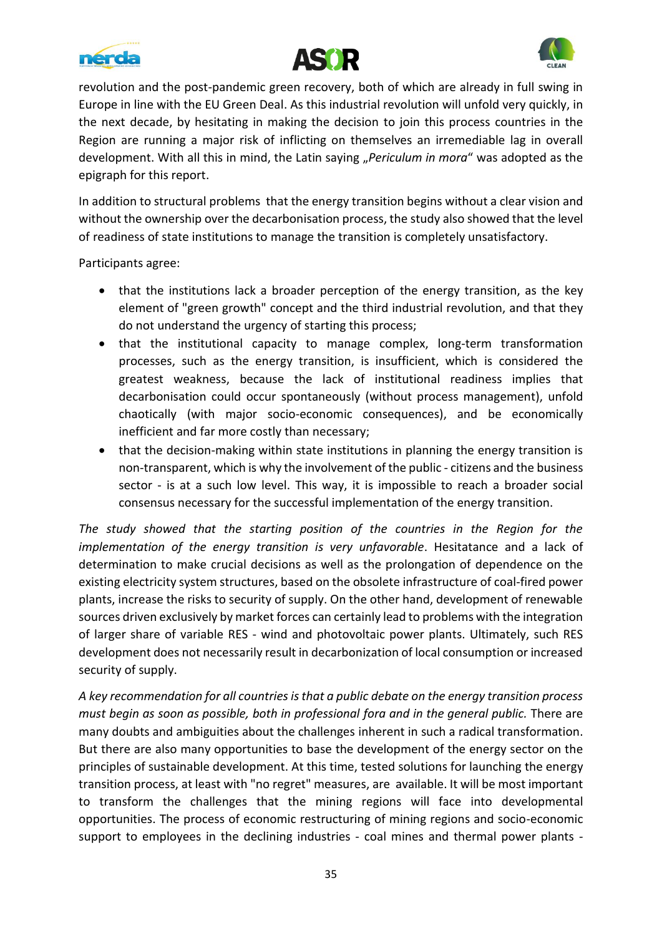





revolution and the post-pandemic green recovery, both of which are already in full swing in Europe in line with the EU Green Deal. As this industrial revolution will unfold very quickly, in the next decade, by hesitating in making the decision to join this process countries in the Region are running a major risk of inflicting on themselves an irremediable lag in overall development. With all this in mind, the Latin saying "Periculum in mora" was adopted as the epigraph for this report.

In addition to structural problems that the energy transition begins without a clear vision and without the ownership over the decarbonisation process, the study also showed that the level of readiness of state institutions to manage the transition is completely unsatisfactory.

Participants agree:

- that the institutions lack a broader perception of the energy transition, as the key element of "green growth" concept and the third industrial revolution, and that they do not understand the urgency of starting this process;
- that the institutional capacity to manage complex, long-term transformation processes, such as the energy transition, is insufficient, which is considered the greatest weakness, because the lack of institutional readiness implies that decarbonisation could occur spontaneously (without process management), unfold chaotically (with major socio-economic consequences), and be economically inefficient and far more costly than necessary;
- that the decision-making within state institutions in planning the energy transition is non-transparent, which is why the involvement of the public - citizens and the business sector - is at a such low level. This way, it is impossible to reach a broader social consensus necessary for the successful implementation of the energy transition.

*The study showed that the starting position of the countries in the Region for the implementation of the energy transition is very unfavorable*. Hesitatance and a lack of determination to make crucial decisions as well as the prolongation of dependence on the existing electricity system structures, based on the obsolete infrastructure of coal-fired power plants, increase the risks to security of supply. On the other hand, development of renewable sources driven exclusively by market forces can certainly lead to problems with the integration of larger share of variable RES - wind and photovoltaic power plants. Ultimately, such RES development does not necessarily result in decarbonization of local consumption or increased security of supply.

*A key recommendation for all countries is that a public debate on the energy transition process must begin as soon as possible, both in professional fora and in the general public.* There are many doubts and ambiguities about the challenges inherent in such a radical transformation. But there are also many opportunities to base the development of the energy sector on the principles of sustainable development. At this time, tested solutions for launching the energy transition process, at least with "no regret" measures, are available. It will be most important to transform the challenges that the mining regions will face into developmental opportunities. The process of economic restructuring of mining regions and socio-economic support to employees in the declining industries - coal mines and thermal power plants -